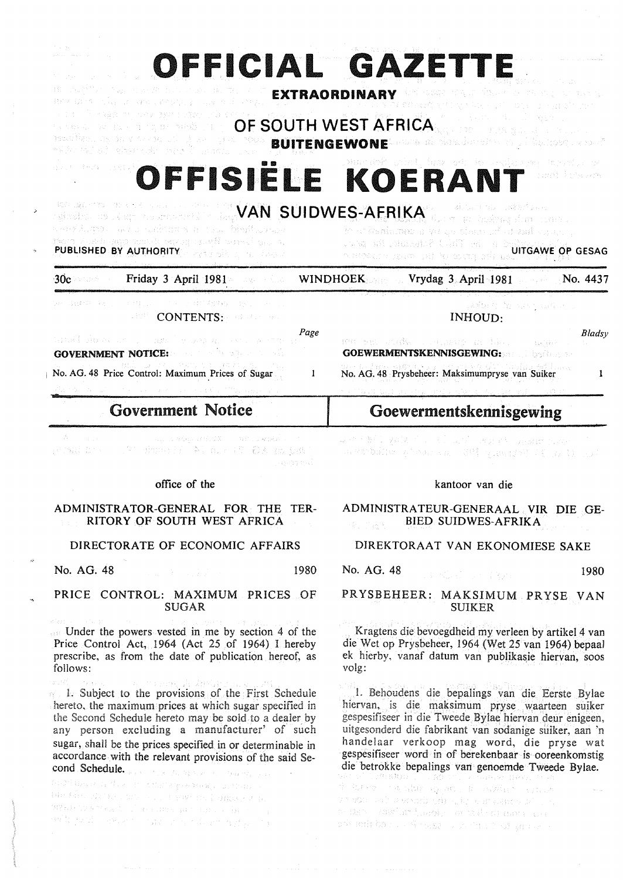|                                                                                                                                                                                                                                                                                                                                     | OFFICIAL GAZETTE                                                                                                                                                         |
|-------------------------------------------------------------------------------------------------------------------------------------------------------------------------------------------------------------------------------------------------------------------------------------------------------------------------------------|--------------------------------------------------------------------------------------------------------------------------------------------------------------------------|
| ato indifferent agents of the constraint and the co<br>an an India.<br>Bha bhan a' ann an Cheangailte ann an Airpeal<br>医单位 医牙髓囊 化四极 独特的复数形式<br>Factors All San Excellent Copyright (Mars) (1977) -<br>BUILDING AND A RESERVED ON A 2008 BUILDING ENGLANDED AND A SERVER SOLAR ENGLAND AND<br>tik til til at ekspedi nord i svens s | ਬੀ ਨਾਲਕੁਣ ਦਾ ਪ੍ਰਾਪਤ ਸੰਗਠਾ ਦਾ ਹਨ। ਸਨ ਭਾਰਤ ਹਨ ਬਹੁਤ ਸ਼ੁਰੂ<br>EXTRAORDINARY<br>Adelaid Contae and Against their<br>sta e contra seria a la regional.<br>OF SOUTH WEST AFRICA |
| applied that could                                                                                                                                                                                                                                                                                                                  | OFFISIËLE KOERANT<br>ounced diarist sorry                                                                                                                                |
| and the state of the second state of <b>VAN SUIDWES-AFRIKA</b> for the basic state of the second<br>к койдогран нь гол госветства пользон Верводовски<br>ie und kleine Wyna public of kaar opgenien in moet<br><b>PUBLISHED BY AUTHORITY</b> A 273 SEEMS 10 REPORT                                                                  | ko orkanismen mye so tisem uf at zail suas. II<br><u>John physical Part (Patrimer De Salon)</u><br><b>DIRECTED ASSESSMENT OF A COUNTY OF STATE OF GESAG</b>              |
| Friday 3 April 1981<br>$30c$ and $\sim$ 100 $\pm$                                                                                                                                                                                                                                                                                   | WINDHOEK Vrydag 3 April 1981 No. 4437                                                                                                                                    |
| oe dame kommentjus in eine de Aveonies in ein.<br><b>CONTENTS: CONTENTS:</b><br>Page<br>and show and a note to which will be the point.                                                                                                                                                                                             | gedom homen and est<br>INHOUD:<br>Bladsy<br>wa sin atake realizing in him a magic re-                                                                                    |
| <b>GOVERNMENT NOTICE:</b> And the second with<br>No. AG. 48 Price Control: Maximum Prices of Sugar<br>-1                                                                                                                                                                                                                            | <b>GOEWERMENTSKENNISGEWING:</b><br>No. AG. 48 Prysbeheer: Maksimumpryse van Suiker<br>-1                                                                                 |
| <b>Government Notice</b>                                                                                                                                                                                                                                                                                                            | Goewermentskennisgewing                                                                                                                                                  |
| The company of the second state of the second contract of the second second second second second second second<br>Andrea Barbara<br>医腹膜 医穿孔 医血管炎 医心中的 化二乙基苯甲酸 医心包<br>나 관련할 학교                                                                                                                                                       | 最初的基金 网络无可靠 医乳房的 医双脑肌 applier candidate<br>中的加油(picking), 时, () () () () ()                                                                                              |
| office of the                                                                                                                                                                                                                                                                                                                       | kantoor van die                                                                                                                                                          |
| ADMINISTRATOR-GENERAL FOR THE TER-<br>RITORY OF SOUTH WEST AFRICA                                                                                                                                                                                                                                                                   | ADMINISTRATEUR-GENERAAL VIR DIE GE-<br><b>BIED SUIDWES-AFRIKA</b><br><b>女子说</b>                                                                                          |
| DIRECTORATE OF ECONOMIC AFFAIRS                                                                                                                                                                                                                                                                                                     | DIREKTORAAT VAN EKONOMIESE SAKE                                                                                                                                          |
| No. AG. 48<br>1980<br>$\label{eq:2.1} \mathcal{L}^{\mathcal{A}}(\mathcal{A}) = \mathcal{L}^{\mathcal{A}}(\mathcal{A}) = \mathcal{L}^{\mathcal{A}}(\mathcal{A}) = \mathcal{L}^{\mathcal{A}}(\mathcal{A}) = \mathcal{L}^{\mathcal{A}}(\mathcal{A})$                                                                                   | No. AG. 48<br>1980<br><b>B. Kadiner Part</b>                                                                                                                             |
| PRICE CONTROL: MAXIMUM PRICES OF<br><b>SUGAR</b>                                                                                                                                                                                                                                                                                    | PRYSBEHEER: MAKSIMUM PRYSE VAN<br><b>SUIKER</b>                                                                                                                          |
| READ of the American control.<br>an Under the powers vested in me by section 4 of the<br>Price Control Act, 1964 (Act 25 of 1964) I hereby<br>prescribe, as from the date of publication hereof, as                                                                                                                                 | Kragtens die bevoegdheid my verleen by artikel 4 van<br>die Wet op Prysbeheer, 1964 (Wet 25 van 1964) bepaal<br>ek hierby, vanaf datum van publikasie hiervan, soos      |

volg:

Gentl of the First Schedule for the provisions of the First Schedule hereto, the maximum prices at which sugar specified in hereto may be sold to a dealer by g a manufacturer' of such sugar, shall be the prices specified in or determinable in accordance with the relevant provisions of the said Second Schedule. The contraction of the contraction of the condition of the condition of the condition of the condition of the condition of the condition of the condition of the condition of the condition of the condition of

 $\begin{split} &\mathcal{M}^{\mathcal{D}}(\mathcal{D}^{\mathcal{D}}(\mathcal{D}^{\mathcal{D}}(\mathcal{D}^{\mathcal{D}}(\mathcal{D}^{\mathcal{D}}(\mathcal{D}^{\mathcal{D}}(\mathcal{D}^{\mathcal{D}}(\mathcal{D}^{\mathcal{D}}(\mathcal{D}^{\mathcal{D}}(\mathcal{D}^{\mathcal{D}}(\mathcal{D}^{\mathcal{D}}(\mathcal{D}^{\mathcal{D}}(\mathcal{D}^{\mathcal{D}}(\mathcal{D}^{\mathcal{D}}(\mathcal{D}^{\mathcal{D}}(\mathcal{D}^{\mathcal{D}}(\mathcal{D}$ 

follows:

1. Behoudens die bepalings van die Eerste Bylae hiervan, is die maksimum pryse waarteen suiker gespesifiseer in die Tweede Bylae hiervan deur enigeen, uitgesonderd die fabrikant van sodanige suiker, aan 'n handelaar verkoop mag word, die pryse wat gespesifiseer word in of berekenbaar is ooreenkomstig

die betrokke bepalings van genoemde Tweede Bylae.<br>2002: De traduisme and the property three contractors วิ ข้านของ และไกรคนที่ต้องเห็น เมือง เป็นสิ่ง และสิทธิ์ เป็น เป็น o deb vasilatinos), aniziodi dans pe on mitte and a finally and the traditional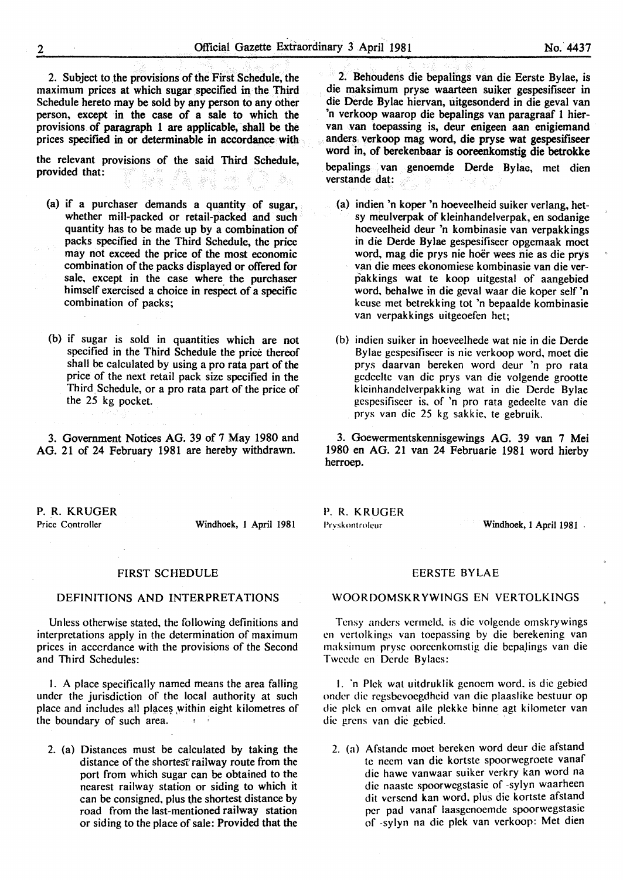2. Subject to the provisions of the First Schedule, the maximum prices at which sugar specified in the Third Schedule hereto may be sold by any person to any other person, except in the case of a sale to which the provisions. of paragraph 1 are applicable, shall be the prices specified in or determinable in accordance with

the relevant provisions of the said Third Schedule, provided that: .<br>Sababa

- (a) if a purchaser demands a quantity of sugar, whether mill-packed or retail-packed and such quantity has to be made up by a combination of packs specified in the Third Schedule, the price may not exceed the price of the most economic combination of the packs displayed or offered for sale, except in the case where the purchaser himself exercised a choice in respect of a specific combination of packs;
- (b) if sugar is sold in quantities which are not specified in the Third Schedule the price thereof shall be calculated by using a pro rata part of the price of the next retail pack size specified in the Third Schedule, or a pro rata part of the price of the 25 kg pocket.

3. Government Notices AG. 39 of 7 May 1980 and AG. 21 of 24 February 1981 are hereby withdrawn.

P.R. KRUGER

Price Controller Windhoek, 1 April 1981

#### FIRST SCHEDULE

### DEFINITIONS AND INTERPRETATIONS

Unless otherwise stated, the following definitions and interpretations apply in the determination of maximum prices in acccrdance with the provisions of the Second and Third Schedules:

I. A place specifically named means the area falling under the jurisdiction of the local authority at such place and includes all places within eight kilometres of the boundary of such area. .<br>.a → 3

2. (a) Distances must be calculated by taking the distance of the shortest railway route from the port from which sugar can be obtained to the nearest railway station or siding to which it can be consigned, plus the shortest distance by road from the last-mentioned railway station or siding to the place of sale: Provided that the

2. Behoudens die bepalings van die Eerste Bylae, is die maksimum pryse waarteen suiker gespesifiseer in die Derde Bylae hiervan, uitgesonderd in die geval van 'n verkoop waarop die bepalings van paragraaf 1 biervan van toepassing is, deur enigeen aan enigiemand anders verkoop mag word, die pryse wat gespesifiseer word in, of berekenbaar is ooreenkomstig die betrokke bepalings van genoemde Derde Bylae, met dien verstande dat:

- (a) indien 'n koper 'n hoeveelheid suiker verlang, het sy meulverpak of kleinhandelverpak, en sodanige hoeveelheid deur 'n kombinasie van verpakkings in die Derde Bylae gespesifiseer opgemaak moet word, mag die prys nie boer wees nie as die prys van die mees ekonomiese kombinasie van die verpakkings wat te koop uitgestal of aangebied word, behalwe in die geval waar die koper self 'n keuse met betrekking tot 'n bepaalde kombinasie van verpakkings uitgeoefen het;
- (b) indien suiker in hoeveelhede wat nie in die Derde Bylae gespesifiseer is nie verkoop word, moet die prys daarvan bereken word deur 'n pro rata gedeelte van die prys van die volgende grootte kleinhandclverpakking wat in die Derde Bylae gcspcsifiseer is. of 'n pro rata gedeelte van die prys van die 25 kg sakkie. te gebruik.

3. Goewermentskennisgewings AG. 39 van 7 Mei 1980 en AG. 21 van 24 Februarie 1981 word hierby herroep.

P.R. KRUGER

Pryskontroleur Windhoek, 1 April 1981

# EERSTE BYLAE

### WOORDOMSKRYWINGS EN VERTOLKINGS

Tensy anders vermeld, is die volgende omskrywings en vertolkings van tocpassing by die berekening van maksimum pryse ooreenkomstig die bepalings van die Twcede en Derde Bylaes:

I. 'n Pick wat uitdruklik gcnoem word. is die gebied onder die rcgsbevocgdheid van die plaaslike bcstuur op die pick en omvat aile plekkc binne agt kilometer van die grens van die gcbied.

2. (a) Afstandc moct bcrckcn word deur die afstand te necm van die kortste spoorwcgroete vanaf die hawe vanwaar suiker verkry kan word na die naastc spoorwegstasie of -sylyn waarheen dit versend kan word. plus die kortste afstand per pad vanaf laasgenoemde spoorwegstasic of -sylyn na die plek van vcrkoop: Met dien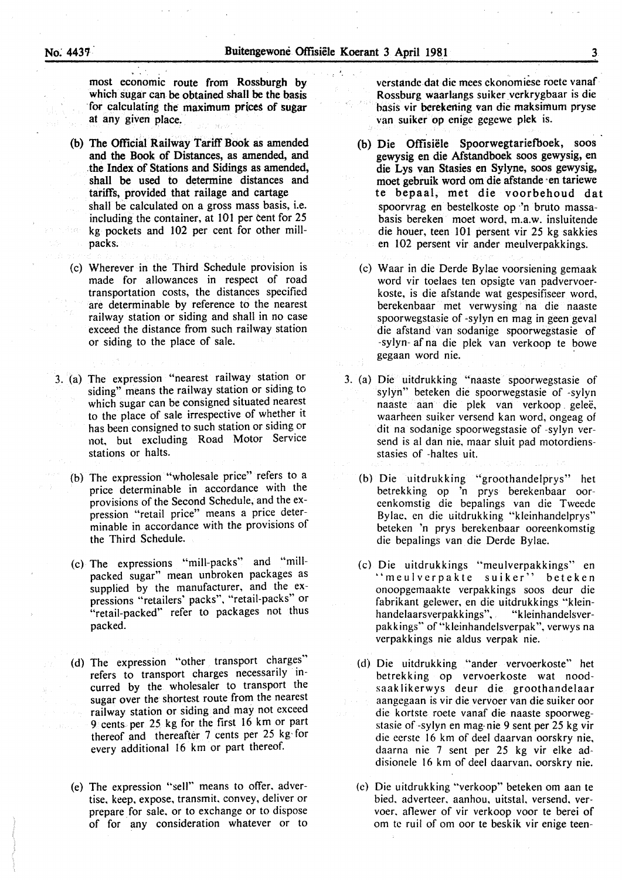most economic route from Rossburgh by which sugar can be obtained shall be the basis for calculating the maximum prices of sugar at any given place.

- (b) The Official Railway Tariff Book as amended and the Book of Distances, as amended, and . the Index of Stations and Sidings as amended, shall be used to determine distances and tariffs, provided that railage and cartage shall be calculated on a gross mass basis, i.e. including the container, at 101 per cent for 25 kg pockets and 102 per cent for other millpacks.
- (c) Wherever in the Third Schedule provision is made for allowances in respect of road transportation costs, the distances specified are determinable by reference to the nearest railway station or siding and shall in no case exceed the distance from such railway station or siding to the place of sale.
- 3. (a) The expression "nearest railway station or siding" means the railway station or siding to which sugar can be consigned situated nearest to the place of sale irrespective of whether it has been consigned to such station or siding or not, but excluding Road Motor Service stations or halts.
	- (b) The expression "wholesale price" refers to a price determinable in accordance with the provisions of the Second Schedule, and the expression "retail price" means a price determinable in accordance with the provisions of the Third Schedule.
	- (c) The expressions "mill-packs" and "millpacked sugar" mean unbroken packages as supplied by the manufacturer, and the expressions "retailers' packs", "retail-packs" or "retail-packed'' refer to packages not thus packed.
	- (d) The expression "other transport charges" refers to transport charges necessarily incurred by the wholesaler to transport the sugar over the shortest route from the nearest railway station or siding and may not exceed 9 cents per 25 kg for the first 16 km or part thereof and thereafter 7 cents per 25 kg for every additional 16 km or part thereof.
	- (e) The expression "sell" means to offer. advertise. keep, expose, transmit. convey, deliver or prepare for sale, or to exchange or to dispose of for any consideration whatever or to

vcrstande.dat die mees ckonomiese roete vanaf· Rossburg waarlangs suiker vcrkrygbaar is die basis vir berekening van die maksimum pryse van suiker op enige gcgcwe plek is.

- (b) Die Offisiële Spoorwegtariefboek, soos gewysig en die Afstandboek soos gewysig, en die Lys van Stasies en Sylyne, soos gewysig, moet gebruik word om die afstande ·en tariewe te bepaal, met die voorbehoud dat spoorvrag en bestelkoste op 'n bruto massabasis bereken moet word, m.a.w. insluitende die houer, teen 101 persent vir 25 kg sakkies en 102 persent vir ander meulverpakkings.
- (c) Waar in die Derde Bylae voorsiening gemaak word vir toelaes ten opsigte van padvervoerkoste, is die afstande wat gespesifiseer word, berekenbaar met verwysing na die naaste spoorwegstasie of -sylyn en mag in geen geval die afstand van sodanige spoorwegstasie of -sylyn- af na die plek van verkoop te bowe gegaan word nie.
- 3. (a) Die uitdrukking "naaste spoorwegstasie of sylyn" beteken die spoorwegstasie of -sylyn naaste aan die plek van verkoop geleë, waarheen suiker versend kan word, ongeag of dit na sodanige spoorwegstasie of -sylyn versend is al dan nie, maar sluit pad motordiensstasies of -haltes uit.
	- (b) Die uitdrukking ''groothandelprys" het betrekking op 'n prys berekenbaar oorcenkomstig die bepalings van die Tweede Bylae. en die uitdrukking "kleinhandelprys" beteken 'n prys berekenbaar ooreenkomstig die bepalings van die Derde Bylae.
	- (c) Die uitdrukkings "meulverpakkings" en "meulverpakte suiker" beteken onoopgemaakte verpakkings soos deur die fabrikant gelewer, en die uitdrukkings "klein-<br>handelaarsverpakkings", "kleinhandelsverhandelaarsverpakkings". pakkings" of"kleinhandelsverpak". verwys na verpakkings nie aldus verpak nie.
	- (d) Die uitdrukking "ander vervoerkoste" het betrekking op vervoerkoste wat noodsaak likerwys deur die groothandelaar aangegaan is vir die vervoer van die suiker oor die kortste roete vanaf die naaste spoorwegstasie of -sylyn en mag-nie 9 sent per 25 kg vir die ecrste 16 km of dee! daarvan oorskry nie, daarna nie 7 sent per 25 kg vir elke addisionele 16 km of dee! daarvan. oorskry nie.
	- (e) Die uitdrukking "verkoop" beteken om aan te bied. adverteer. aanhou, uitstal. versend. vervoer. aflewer of vir verkoop voor te berei of om te ruil of om oor te beskik vir enige teen-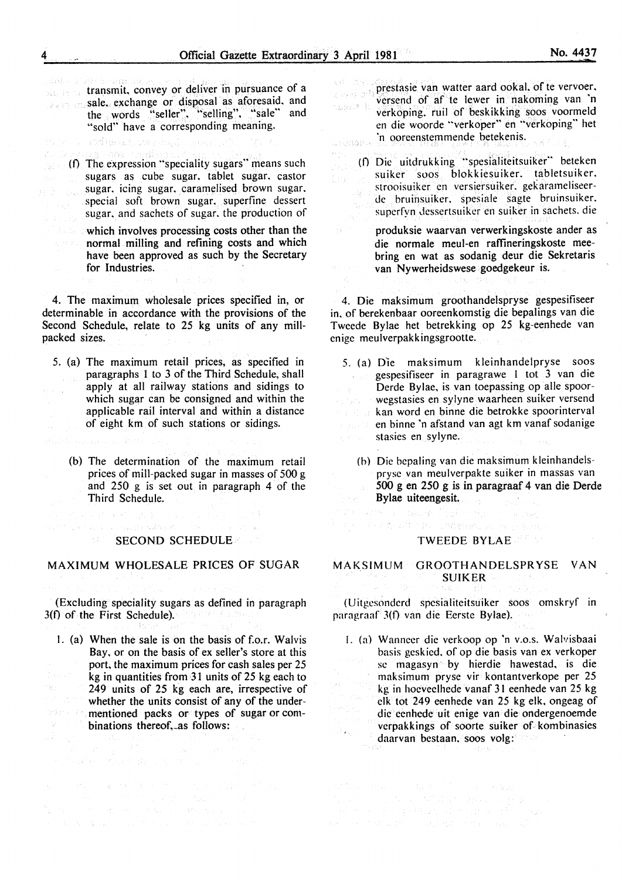$\sum_{i=1}^{n} \frac{1}{n} \frac{d^2}{dx^2}$  .

Ŵ.

Stand Constitution transmit, convey or deliver in pursuance of a sale. exchange or disposal as aforesaid, and the words "seller", "selling", "sale" and "sold" have a corresponding meaning.

for a phone would be a hold

- anna caedh  $\mathcal{E}^{\mathcal{C}}$  ,  $\mathcal{C}$  ,  $\mathcal{G}$ (f) The expression "speciality sugars" means such sugars as cube sugar. tablet sugar. castor sugar. icing sugar. caramelised brown sugar. a Social special soft brown sugar. superfine dessert sugar. and sachets of sugar. the production of
	- which involves processing costs other than the normal milling and refining costs and which have been approved as such by the Secretary for Industries.

4. The maximum wholesale prices specified in, or determinable in accordance with the provisions of the Second Schedule, relate to 25 kg units of any millpacked sizes.

- 5. (a) The maximum retail prices, as specified in paragraphs I to 3 of the Third Schedule, shall apply at all railway stations and sidings to  $\sim$ which sugar can be consigned and within the applicable rail interval and within a distance of eight km of such stations or sidings.
	- (b) The determination of the maximum retail prices of mill-packed sugar in masses of 500 g and 250 g is set out in paragraph 4 of the Third Schedule.
		- SECOND SCHEDULE

### MAXIMUM WHOLESALE PRICES OF SUGAR

e i strane e primer e Mingen I.<br>Mingere e primer media tale<mark>m</mark>ente i se

(Excluding speciality sugars as defined in paragraph 3(f) of the First Schedule).

I. (a) When the sale is on the basis of f.o.r. Walvis Bay, or on the basis of ex seller's store at this port, the maximum prices for cash sales per 25 kg in quantities from 31 units of 25 kg each to 249 units of 25 kg each are, irrespective of whether the units consist of any of the under-会员起来 紧张 mentioned packs or types of sugar or com- $\gamma_{Z} = 10^{10}$ binations thereof, as follows:

 $\label{eq:2.1} \begin{split} \left\langle \left( \mathcal{E} \right) \right\rangle = \left( \mathcal{E} \right) \left( \left( \frac{1}{2} \right) \right) = \mathcal{E} \left( \left( \frac{1}{2} \right) \right) = \left( \frac{1}{2} \mathcal{E} \right) \left( \frac{1}{2} \right) = \left( \frac{1}{2} \right) \mathcal{E} \left( \frac{1}{2} \right) = \left( \frac{1}{2} \right) \mathcal{E} \left( \frac{1}{2} \right) = \left( \frac{1}{2} \right) \mathcal{E} \left( \frac{1}{2$ 

- prestasie van watter aard ookal. of te vervoer. التن كيبيون versend of af te lewer in nakoming van 'n asan k verkoping. ruil of beskikking soos voormeld en die woorde "verkoper" en "verkoping" het 'n oorcenstemmende betekenis. .<br>Lobase e
	- (f) Die uitdrukk ing "spesialiteitsuiker" beteken suiker soos blokkiesuiker. tabletsuiker. strooisuiker en versiersuiker. gekarameliseer-- Isb de bruinsuiker. spesiale sagte bruinsuiker. superfyn dessertsuiker en suiker in sachets, die
		- produksie waarvan verwerkingskoste ander as die normale meul-en raffineringskoste meebring en wat as sodanig deur die Sekretaris van Nywerheidswese goedgekeur is.

4. Die maksimum groothandelspryse gespesifiseer in. of berekenbaar ooreenkomstig die bepalings van die Twcede Bylae het betrekking op 25 kg-eenhede van enige meulverpakkingsgrootte.

- 5. (a) Die maksimum kleinhandelpryse soos gespesifiseer in paragrawe l tot 3 van die Derde Bylae, is van toepassing op aile spoorwegstasies en sylyne waarheen suiker versend kan word en binne die betrokke spoorinterval en binne 'n afstand van agt km vanaf sodanige stasics en sylyne.
	- (b) Die bepaling van die maksimum kleinhandelsprysc van meulverpakte suiker in massas van 500 g en 250 g is in paragraaf 4 van die Derde Bylae uiteengesit.

soft many many series

# TWEEDE BYLAE

n komunikas Antonio arbitektoje programa programa politikas programa politika programa politika programa polit

 $\mathcal{W}^{(2)}_{\alpha}$  ,  $\mathcal{V}^{(1)}_{\alpha}$  , then  $\mathcal{W}^{(1)}_{\alpha}$ 

## MAKSIMUM GROOTHANDELSPRYSE VAN SUIKER

(Uitgesonderd spcsialitcitsuiker soos omskryf in paragraaf 3(f) van die Eerste Bylae).

- I. (a) Wanneer die verkoop op 'n v.o.s. Walvisbaai basis geskicd. of op die basis van ex verkoper sc magasyn by hierdie hawestad, is die maksimum pryse vir kontantverkope per 25 kg in hoeveclhede vanaf 31 eenhede van 25 kg elk tot 249 eenhede van 25 kg elk, ongeag of die eenhede uit enige van die ondergenoemde verpakkings of soorte suiker of. kombinasies daarvan bestaan. soos volg:
-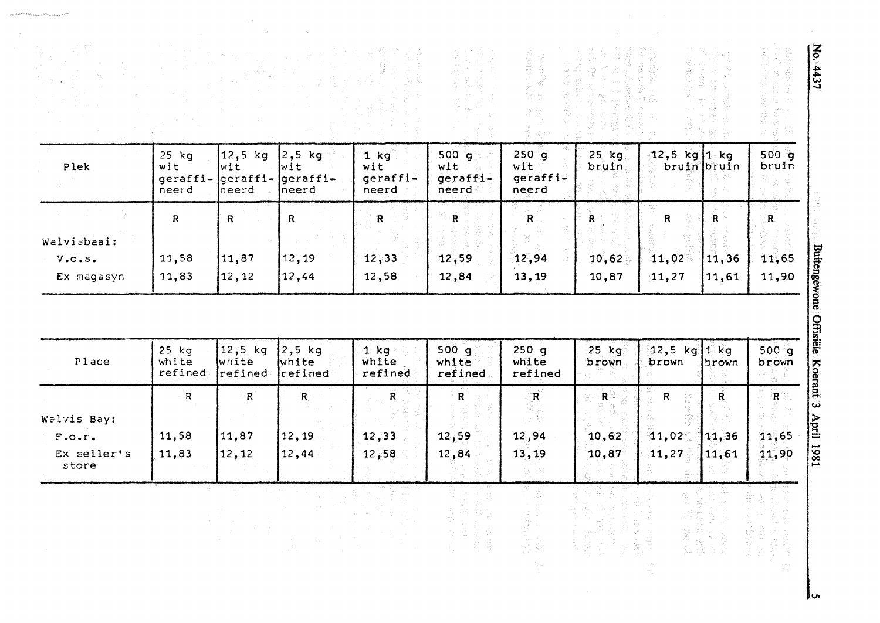| Plek                              | 25 kg<br>wit<br>geraffi-<br>neerd | 12,5 kg<br>wit<br>$\sqrt{q}$<br>neerd | $2,5$ kg<br>wit<br>geraffi-<br>neerd | $1$ $kg$<br>wit<br>$q$ eraffi-<br>neerd | 500g<br>wit<br>geraffi-<br>neerd | $250$ <sup>g</sup><br>wit<br>geraffi-<br>neerd                | $25$ kg<br>bruin | 12,5 kg 1 kg            | bruin bruin                                  | 500q<br>bruin                                      |
|-----------------------------------|-----------------------------------|---------------------------------------|--------------------------------------|-----------------------------------------|----------------------------------|---------------------------------------------------------------|------------------|-------------------------|----------------------------------------------|----------------------------------------------------|
| Walvisbaai:                       | $\mathsf{R}$                      | $\mathsf{R}$                          | $\mathsf{R}$                         | $\mathbf R$                             | $\overline{\mathbf{R}}$          | $\,$ R $\,$                                                   | R                | $\mathsf{R}$            | R                                            | $\mathbf{R}$                                       |
| V.0.5.<br>Ex magasyn              | 11,58<br>11,83                    | 11,87<br>12,12                        | 12, 19<br>12,44                      | 12,33<br>12,58                          | 12,59<br>12,84                   | 12,94<br>13,19                                                | 10,62<br>10,87   | 11,02<br>41,27          | 11,36<br>11,61                               | Buitengewone Offisiële Koerant 3<br>11,65<br>11,90 |
|                                   |                                   |                                       |                                      |                                         |                                  |                                                               |                  |                         |                                              |                                                    |
| Place                             | $25$ $kg$<br>white<br>refined     | 12,5 kg<br>white<br>refined           | $2,5$ kg<br>white<br>refined         | $1$ kg<br>white<br>refined              | 500 g<br>white<br>refined        | $250$ g<br>white<br>refined                                   | $25$ kg<br>brown | <b>12,5 kg</b><br>brown | $ 1\rangle$ kg<br>brown                      | 500 g<br>brown                                     |
|                                   | $\mathsf{R}$                      | R                                     | $\mathbf{R}^\circ$                   | $\overline{\mathsf{R}}$                 | $R^{\circ}$                      | R                                                             | R                | $\mathbf R$             | $\overline{\mathbf{R}}$                      | R                                                  |
| Walvis Bay:                       |                                   |                                       |                                      |                                         |                                  |                                                               |                  |                         |                                              |                                                    |
| $F.$ o.r.<br>Ex seller's<br>store | 11,58<br>11,83                    | 11,87<br>12,12                        | 12,19<br>12,44                       | 12,33<br>12,58                          | 12,59<br>12,84                   | 12,94<br>13,19                                                | 10,62<br>10, 87  | 11,02<br>11,27          | 11,36<br>11,61                               | 11,65<br>11,90                                     |
|                                   |                                   |                                       | $\sim$<br>$\hat{\mathcal{J}}_1$      |                                         |                                  | 39<br>international Second<br>Second Contract Contract Second |                  |                         | bet 1982<br>2010년 1월 1일<br>2010년 1월 1일 1일 1일 |                                                    |

 $\sim 10$ 

 $\mathcal{S}_{\mathcal{S}}$ 

duiten  $rac{1}{2}$ 2 <sup>~</sup>**o:**  (ij Koerant

 $J_{\boldsymbol{\omega}}$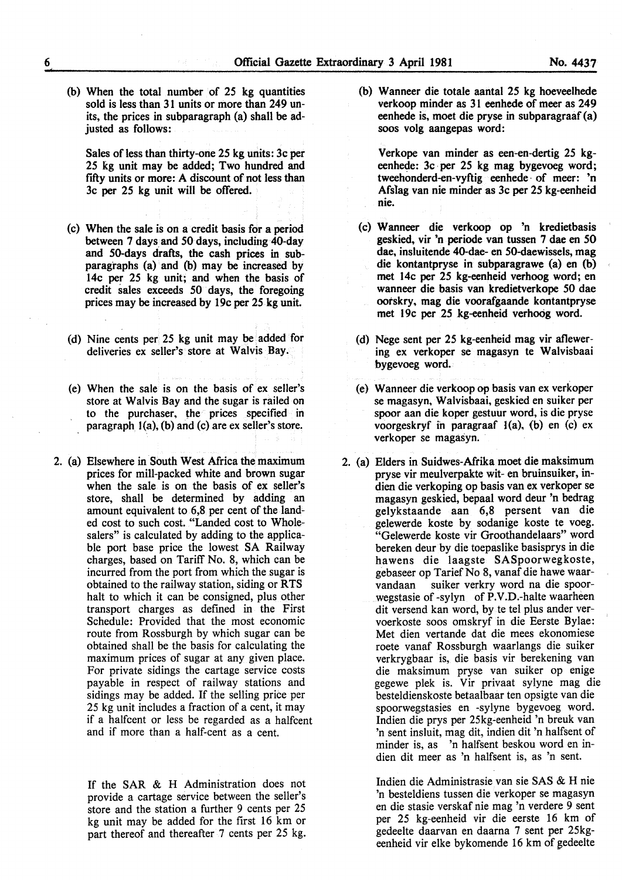(b) When the total number of 25 kg quantities sold is less than 31 units or more than 249 units, the prices in subparagraph (a) shall be adjusted as follows:

Sales of less than thirty-one 25 kg units: 3c per 25 kg unit may be added; Two hundred and fifty units or more: A discount of not less than 3c per 25 kg unit will be offered.

- (c) When the sale is on a credit basis for a period between 7 days. and 50 days, including 40-day and 50-days drafts, the cash prices in subparagraphs (a) and (b) may be increased by l4c per 25 kg unit; and when the basis of credit sales exceeds 50 days, the foregoing prices may be increased by l9c per 25 kg unit.
- (d) Nine cents per 25 kg unit may be added for deliveries ex seller's store at Walvis Bay.
- (e) When the sale is on the basis of ex seller's store at Walvis Bay and the sugar is railed on to the purchaser, the prices specified in paragraph J(a), (b) and (c) are ex seller's store.
- 2. (a) Elsewhere in South West Africa the maximum prices for mill-packed white and brown sugar when the sale is on the basis of ex seller's store, shall be determined by adding an amount equivalent to 6,8 per cent of the landed cost to such cost. "Landed cost to Wholesalers" is calculated by adding to the applicable port base price the lowest SA Railway charges, based on Tariff No. 8, which can be incurred from the port from which the sugar is obtained to the railway station, siding or RTS halt to which it can be consigned, plus other transport charges as defined in the First Schedule: Provided that the most economic route from Rossburgh by which sugar can be obtained shall be the basis for calculating the maximum prices of sugar at any given place. For private sidings the cartage service costs payable in respect of railway stations and sidings may be added. If the selling price per 25 kg unit includes a fraction of a cent, it may if a halfcent or less be regarded as a halfcent and if more than a half-cent as a cent.

If the SAR & H Administration does not provide a cartage service between the seller's store and the station a further 9 cents per 25 kg unit may be added for the first 16 km or part thereof and thereafter 7 cents per 25 kg.

(b) Wanneer die totale aantal 25 kg hoeveelhede verkoop minder as 31 eenhede of meer as 249 eenhede is, moet die pryse in subparagraaf (a) soos volg aangepas word:

Verkope van minder as een-en-dertig 25 kgeenhede: 3c per 25 kg mag bygevoeg word; tweehonderd-en-vyftig eenhede · of meer: 'n Afslag van nie minder as 3c per 25 kg-eenheid nie.

- (c) Wanneer die verkoop op 'n kredietbasis geskied, vir 'n periode van tussen 7 dae en 50 dae, insluitende 40-dae- en 50-daewissels, mag die kontantpryse in subparagrawe (a) en (b) met 14c per 25 kg-eenheid verhoog word; en wanneer die basis van kredietverkope 50 dae ootskry, mag die voorafgaande kontantpryse met 19c per 25 kg-eenheid verhoog word.
- (d) Nege sent per 25 kg-eenheid mag vir aflewering ex verkoper se magasyn te Walvisbaai bygevoeg word.
- (e) Wanneer die verkoop op basis van ex verkoper se magasyn, Walvisbaai, geskied en suiker per spoor aan die koper gestuur word, is die pryse voorgeskryf in paragraaf l(a), (b) en (c) ex verkoper se magasyn.
- 2. (a) Elders in Suidwes-Afrika moet die maksimum pryse vir meulverpakte wit- en bruinsuiker, indien die verkoping op basis van ex verkoper se magasyn geskied, bepaal word deur 'n bedrag gelykstaande aan 6,8 persent van die gelewerde koste by sodanige koste te voeg. "Gelewerde koste vir Groothandelaars" word bereken deur by die toepaslike basisprys in die hawens die laagste SASpoorwegkoste, gebaseer op Tarief No 8, vanaf die hawe waarvandaan suiker verkry word na die spoorwegstasie of -sylyn of P.V.D.-halte waarheen dit versend kan word, by te tel plus ander vervoerkoste soos omskryf in die Eerste Bylae: Met dien vertande dat die mees ekonomiese roete vanaf Rossburgh waarlangs die suiker verkrygbaar is, die basis vir berekening van die maksimum pryse van suiker op enige gegewe plek is. Vir privaat sylyne mag die besteldienskoste betaalbaar ten opsigte van die spoorwegstasies en -sylyne bygevoeg word. Indien die prys per 25kg-eenheid 'n brenk van 'n sent insluit, mag dit, indien dit 'n halfsent of minder is, as 'n halfsent beskou word en indien dit meer as 'n halfsent is, as 'n sent.

Indien die Administrasie van sie SAS & H nie 'n besteldiens tussen die verkoper se magasyn en die stasie verskaf nie mag 'n verdere 9 sent per 25 kg-eenheid vir die eerste 16 km of gedeelte daarvan en daarna 7 sent per 25kgeenheid vir elke bykomende 16 km of gedeelte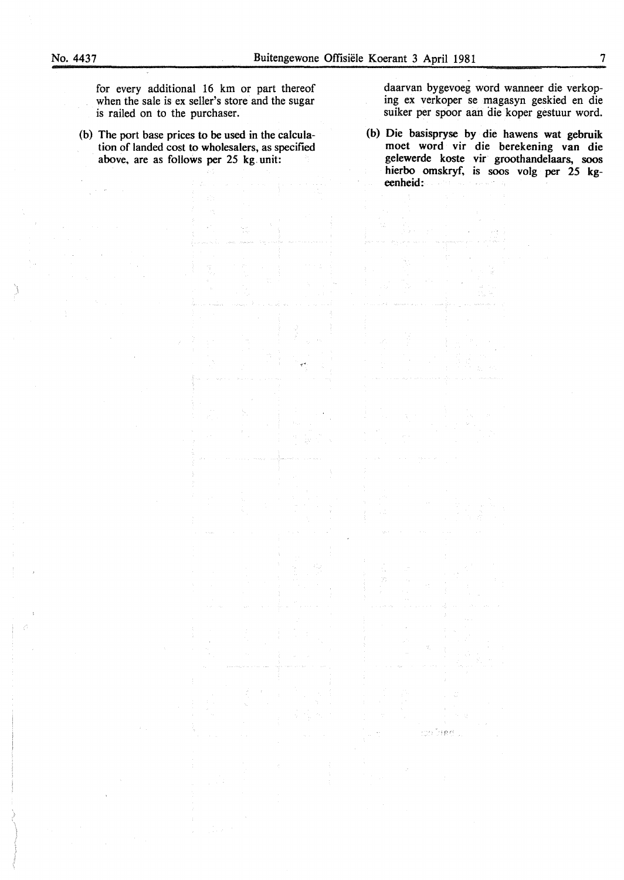for every additional 16 km or part thereof when the sale is ex seller's store and the sugar is railed on to the purchaser.

(b) The port base prices to be used in the calculation of landed cost to wholesalers, as specified above, are as follows per 25 kg. unit:

daarvan bygevoeg word wanneer die verkoping ex verkoper se magasyn geskied en die suiker per spoor aan die koper gestuur word.

(b) Die basispryse by die hawens wat gebruik moet word vir die berekening van die gelewerde koste vir groothandelaars, soos hierbo omskryf, is soos volg per 25 kgeenheid:

วยไปสถ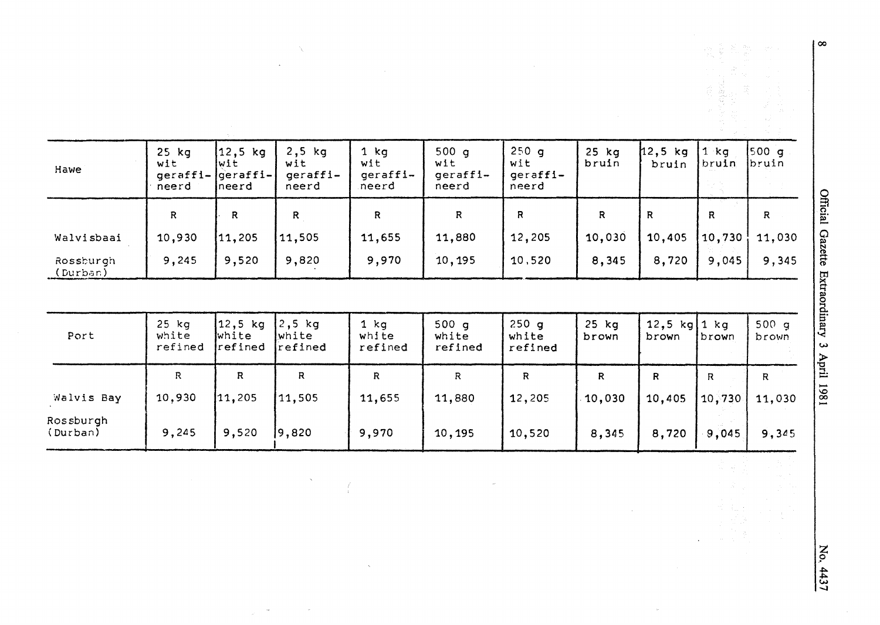| Hawe                  | $25$ $kg$<br>wit<br>$geraffi - [geraffi -]$<br>neerd | $12,5$ kg<br> wit<br>Ineerd | $2,5$ kg<br>wit<br>geraffi-<br>neerd | 1 $kg$<br>wit<br>geraffi-<br>neerd | 500q<br>wit<br>geraffi-<br>neerd | 250g<br>wit<br>geraffi-<br>neerd | $25$ $kg$<br>bruin | 12,5 kg<br>bruin | $1$ $ka$<br> br <b>uin</b> | [500 q]<br>bruin |
|-----------------------|------------------------------------------------------|-----------------------------|--------------------------------------|------------------------------------|----------------------------------|----------------------------------|--------------------|------------------|----------------------------|------------------|
|                       | R                                                    | R                           | R                                    | $\mathsf R$                        | $\mathsf{R}$                     | R                                | R                  | $\mathsf{R}$     | R                          | R                |
| Walvisbaai            | 10,930                                               | 11,205                      | 11,505                               | 11,655                             | 11,880                           | 12,205                           | 10,030             | 10,405           | 10,730                     | 11,030           |
| Rossburgh<br>(Durban) | 9,245                                                | 9,520                       | 9,820                                | 9,970                              | 10, 195                          | 10,520                           | 8,345              | 8,720            | 9,045                      | 9,345            |
|                       |                                                      |                             |                                      |                                    |                                  |                                  |                    |                  |                            |                  |

 $\mathcal{L}$ 

 $\lambda_{\rm c}$ 

 $\mathbf{x}^{(i)}$  and

 $\int\limits_{\mathbb{R}^{3}}$ 

 $\hat{\mathcal{A}}$ 

| Port                  | $25$ kg<br>white<br>refined | 12,5 kg<br>white<br>refined | $2,5$ kg<br>lwhite.<br>refined | 1 ka<br>white<br>refined | 500q<br>white<br>refined | 250q<br>white<br>refined | $25$ $kg$<br>brown | 12,5 $kg[1 kg]$<br>brown | brown  | 500q<br>brown |
|-----------------------|-----------------------------|-----------------------------|--------------------------------|--------------------------|--------------------------|--------------------------|--------------------|--------------------------|--------|---------------|
|                       | R                           | R                           | R                              | R                        | R                        | R                        | R                  | R                        | R      | R             |
| Walvis Bay            | 10,930                      | 11,205                      | 11,505                         | 11,655                   | 11,880                   | 12,205                   | 10,030             | 10,405                   | 10,730 | 11,030        |
| Rossburgh<br>(Durban) | 9,245                       | 9,520                       | 19,820                         | 9,970                    | 10,195                   | 10,520                   | 8,345              | 8,720                    | 9,045  | 9,345         |

 $\sim$ 

 $\sim$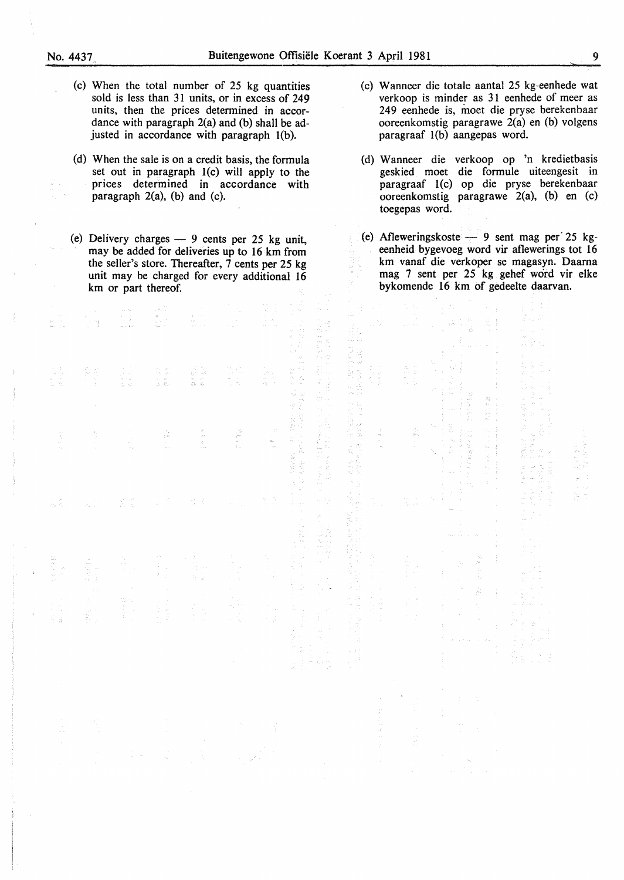- - (c) When the total number of 25 kg quantities sold is less than 31 units, or in excess of 249 units, then the prices determined in accordance with paragraph 2(a) and (b) shall be adjusted in accordance with paragraph 1(b).
	- (d) When the sale is on a credit basis, the formula set out in paragraph 1(c) will apply to the prices determined in accordance with paragraph  $2(a)$ , (b) and (c).
	- (e) Delivery charges  $-9$  cents per 25 kg unit, may be added for deliveries up to 16 km from the seller's store. Thereafter,  $\overline{7}$  cents per 25 kg unit may be charged for every additional 16 km or part thereof.

t s

- (c) Wanneer die totale aantal 25 kg-eenhede wat verkoop is minder as 31 eenhede of meer as 249 eenhede is, moet die pryse berekenbaar ooreenkomstig paragrawe 2(a) en (b) volgens paragraaf  $1(b)$  aangepas word.
- (d) Wanneer die verkoop op 'n kredietbasis geskied moet die formule uiteengesit in paragraaf 1(c) op die pryse berekenbaar ooreenkomstig paragrawe 2(a), (b) en (c) toegepas word.
- (e) Afleweringskoste  $-9$  sent mag per 25 kgeenheid bygevoeg word vir aflewerings tot 16 km vanaf die verkoper se magasyn. Daarna mag 7 sent per 25 kg gehef word vir elke bykomende 16 km of gedeelte daarvan.

| 「その後、そのように、その後、この後、その後のことには、この後、「後者のこと」ということには、「そのこと」ということになっている。 |                                  | はい み<br>$\frac{1}{2} \sum_{i=1}^{n} \frac{1}{2} \sum_{j=1}^{n} \frac{1}{2} \sum_{j=1}^{n} \frac{1}{2} \sum_{j=1}^{n} \frac{1}{2} \sum_{j=1}^{n} \frac{1}{2} \sum_{j=1}^{n} \frac{1}{2} \sum_{j=1}^{n} \frac{1}{2} \sum_{j=1}^{n} \frac{1}{2} \sum_{j=1}^{n} \frac{1}{2} \sum_{j=1}^{n} \frac{1}{2} \sum_{j=1}^{n} \frac{1}{2} \sum_{j=1}^{n} \frac{1}{2} \sum_{j=1}^{n$<br>けんこうしょう | 14. 计算法<br>12. 12.<br>$\alpha$ , and $\alpha$ , and $\alpha$<br>○ 医中央性 100 mini 100 mini 100 mini 100 mini 100 mini 100 mini 100 mini 100 mini 100 mini 100 mini 100 mini 100 mini 100 mini 100 mini 100 mini 100 mini 100 mini 100 mini 100 mini 100 mini 100 mini 100 mini 100 mini 100 m<br>医腹股沟 医心脏 医心脏 医阿尔伯氏征<br>医新加拿大 医血管切除术 机十二十<br>かんかく きんかん かいしゅ あき きかいかんこう エー・エー |                                                                                                                                                                                                                                                   | <b>Contract Security Contract Contract</b> |
|-------------------------------------------------------------------|----------------------------------|------------------------------------------------------------------------------------------------------------------------------------------------------------------------------------------------------------------------------------------------------------------------------------------------------------------------------------------------------------------------------------|----------------------------------------------------------------------------------------------------------------------------------------------------------------------------------------------------------------------------------------------------------------------------------------------------------------------------------------------------------------------------|---------------------------------------------------------------------------------------------------------------------------------------------------------------------------------------------------------------------------------------------------|--------------------------------------------|
|                                                                   | j.<br>医心室 医三十五烷<br>医心室 医单位神经 医心脏 | $\gamma_{\rm i}$                                                                                                                                                                                                                                                                                                                                                                   | 经营 有效的 地名<br>医心脏病 医心脏<br>医大气体 医中枢性 医中间性梅毒 医中间性白血病 医心包<br>$\frac{1}{2}$                                                                                                                                                                                                                                                                                                     | 1977年,1988年,1988年,1999年,1998年,1998年,1998年,1998年,1998年,1998年,1998年,1998年,1998年,1999年,1999年,1999年,1999年,1999年,199<br>1997年,1998年,1998年,1999年,1999年,1999年,1998年,1998年,1998年,1999年,1999年,1999年,1999年,1999年,1999年,1999年,1999年,1999年,1<br>医大脑性脑炎 医子宫切除术 | Officer Control                            |
|                                                                   | 4. 红花、红花、玉花                      |                                                                                                                                                                                                                                                                                                                                                                                    | i.                                                                                                                                                                                                                                                                                                                                                                         |                                                                                                                                                                                                                                                   |                                            |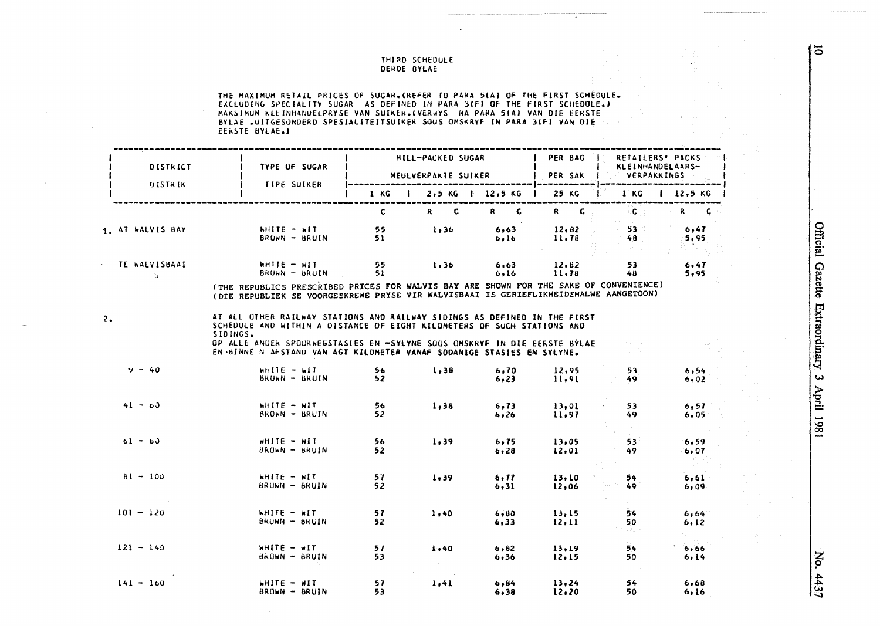#### THIRD SCHEDULE DERDE BYLAE

THE MAXIMUM RETAIL PRICES OF SUGAR.(REFER TO PARA 5(A) OF THE FIRST SCHEDULE.)<br>EXCLUDING SPECIALITY SUGAR AS DEFINED IN PARA 3(F) OF THE FIRST SCHEDULE.)<br>MAKSIMUM KLEINHANDELPRYSE VAN SUIKER.(VERWYS "NA PARA 5(A) VAN DIE E BYLAE "UITGESONDERD SPESIALITEITSUIKER SOUS OMSKRYF IN PARA 3(F) VAN DIE EERSTE BYLAE.

| DISTRICT                    | TYPE OF SUGAR                                                                                                                                                                                                                                                                                                           |                       | <b>MILL-PACKED SUGAR</b> |               | PER BAG I<br>MEULVERPAKTE SUIKER   PER SAK | <b>VERPAKKINGS</b>                                                        | RETAILERS' PACKS<br>KLEINHANDELAARS- |
|-----------------------------|-------------------------------------------------------------------------------------------------------------------------------------------------------------------------------------------------------------------------------------------------------------------------------------------------------------------------|-----------------------|--------------------------|---------------|--------------------------------------------|---------------------------------------------------------------------------|--------------------------------------|
| DISTRIK                     | <b>TIPE SUIKER</b>                                                                                                                                                                                                                                                                                                      |                       | 1 KG   2,5 KG   12,5 KG  |               | 25 KG                                      | <b>IKG</b>                                                                | 1.2,5 KG                             |
|                             |                                                                                                                                                                                                                                                                                                                         | $\mathbf{C}$          | $R$ $C$                  | $R$ $C$       | $R$ $C$                                    | $\mathcal{L} = \mathcal{L} \mathcal{L}$ . The $\mathcal{L} = \mathcal{L}$ | $R = C$                              |
| 1. AT WALVIS BAY            | hhite – Wit<br>BRUWN - BRUIN                                                                                                                                                                                                                                                                                            | 55<br>51              | 1,36                     | 6,63<br>6,16  | 12,82<br>11.78                             | $53 -$<br>$-48$                                                           | 6,47<br>5,95                         |
| TE WALVISBAAI<br>$\Delta$ . | WHITE - WIT<br>BRUWN – BRUIN – 51                                                                                                                                                                                                                                                                                       | 55.                   | $1,36$ $6,63$            | 6,16          | 12,82<br>11.78                             | 53<br>48                                                                  | 6,47<br>5,95                         |
|                             | (THE REPUBLICS PRESCRIBED PRICES FOR WALVIS BAY ARE SHOWN FOR THE SAKE OF CONVENIENCE)<br>(DIE REPUBLIEK SE VOORGESKREWE PRYSE VIR WALVISBAAI IS GERIEFLIKHEIDSHALWE AANGETOON)                                                                                                                                         |                       |                          |               |                                            |                                                                           |                                      |
| 2.                          | AT ALL OTHER RAILWAY STATIONS AND RAILWAY SIDINGS AS DEFINED IN THE FIRST<br>SCHEDULE AND WITHIN A DISTANCE OF EIGHT KILOMETERS OF SUCH STATIONS AND<br>SIDINGS.<br>OP ALLE ANDER SPOORWEGSTASIES EN -SYLYNE SOOS OMSKRYF IN DIE EERSTE BYLAE<br>EN BINNE N AFSTAND VAN AGT KILOMETER VANAF SODANIGE STASIES EN SYLYNE. |                       |                          |               |                                            |                                                                           |                                      |
| $y - 40$                    | $wH11E - w1T$<br>BRUWN - BRUIN                                                                                                                                                                                                                                                                                          | 56<br>52 <sub>2</sub> | 1.38                     | 6,70<br>6, 23 | 12,95<br>11,91                             | 53.<br>49.                                                                | 6.54<br>6,02                         |
| $41 - 60$                   | WHITE - WIT<br>BROWN - BRUIN                                                                                                                                                                                                                                                                                            | 56<br>52              | 1.38                     | 6, 73<br>6,26 | 13.01<br>11,97                             | 53.<br>49.                                                                | 6.57<br>6,05                         |
| $61 - 80$                   | WHITE - WIT<br>BROWN - BRUIN                                                                                                                                                                                                                                                                                            | 56<br>52              | 1,39                     | 6.75<br>6,28  | 13,05<br>12,01                             | $53 -$<br>49                                                              | 6,59<br>6.07                         |
| $81 - 100$                  | WHITE - WIT<br>BROWN - BRUIN                                                                                                                                                                                                                                                                                            | 57.<br>52.            | 1,39                     | 6, 77<br>6.31 | 13,10<br>12,06                             | $54 -$<br>49.                                                             | 6.61<br>6,09                         |
| $101 - 120$                 | <b>KHITE - WIT</b><br>BROWN - BRUIN                                                                                                                                                                                                                                                                                     | 57<br>52.             | 1,40                     | 6,80<br>6,33  | 13,15<br>12, 11                            | 54<br>50                                                                  | 6,64<br>6, 12                        |
| $121 - 140$                 | WHITE - WIT<br>BROWN - BRUIN                                                                                                                                                                                                                                                                                            | 57<br>53              | 1.40                     | 6,82<br>6,36  | 13.19<br>12.15                             | 54<br>50                                                                  | 6,66<br>6,14                         |
| $141 - 160$                 | WHITE - WIT<br>$BROW = BRUIN$                                                                                                                                                                                                                                                                                           | 57<br>53              | 1,41                     | 6.84<br>6,38  | 13,24<br>12, 20                            | 54<br>50                                                                  | 6,68<br>6.16                         |

No. 4437

 $\overline{5}$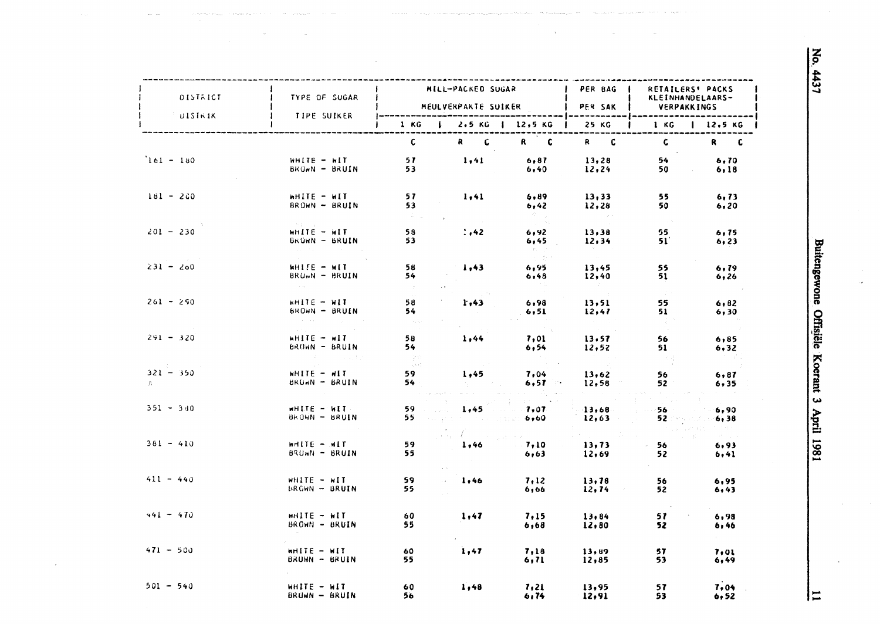Buitengewone Offisiële Koerant 3 April 1981

| DISTRICT             | TYPE OF SUGAR                                                      |                            | MILL-PACKED SUGAR                                                                               |                                 | PER BAG         | RETAILERS' PACKS                |                                                          |
|----------------------|--------------------------------------------------------------------|----------------------------|-------------------------------------------------------------------------------------------------|---------------------------------|-----------------|---------------------------------|----------------------------------------------------------|
|                      |                                                                    |                            | MEULVERPAKTE SUIKER                                                                             |                                 | PER SAK         | KLEINHANDELAARS-<br>VERPAKKINGS |                                                          |
| <b>UISTRIK</b>       | TIPE SUIKER                                                        | 1 KG                       | $\mathbf{L}$                                                                                    | $2.5$ KG   12.5 KG              | 25 KG           | 1 KG                            | 12.5 KG                                                  |
|                      |                                                                    | $\mathsf{C}$               | $R$ $C$                                                                                         | R C                             | $R$ $C$         | $\mathbf{C}$                    | R C                                                      |
| $161 - 180$          | $WHITE - HIT$<br>BROWN - BRUIN                                     | 57.<br>53                  | 1,41                                                                                            | 6, 87<br>6,40                   | 13,28<br>12, 24 | 54<br>50                        | 6.70<br>6,18                                             |
| $181 - 200$          | WHITE - WIT<br>BROWN - BRUIN                                       | 57<br>53<br>$\sim 10^{11}$ | 1, 41                                                                                           | 6,89<br>6,42<br>in Albert       | 13,33<br>12,28  | 55<br>50                        | 6, 73<br>6, 20                                           |
| $201 - 230$          | State State<br>$WHIFE - HIT$<br>BRUWN - BRUIN<br>couple of the co- | 58<br>53                   | : 142                                                                                           | 6,92<br>6,45<br>$\tau$ .        | 13,38<br>12, 34 | <b>Control</b><br>55.<br>51     | 6, 75<br>6,23                                            |
| $231 - 200$          | WHITE - WIT<br>$BRUmN - BRUIN$<br>$\sim$ $\sim$                    | 58<br>54                   | 1,43                                                                                            | 6,95<br>6,48                    | 13,45<br>12,40  | 55<br>51                        | 6, 79<br>6,26                                            |
| $261 - 290$          | WHITE - WIT<br>BROWN - BRUIN<br>and the state of the               | 58<br>54<br><b>Cardian</b> | 1.43                                                                                            | 6,98<br>6, 51                   | 13, 51<br>12,47 | $\sim 20\,$ k<br>55<br>51       | 6,82<br>6, 30                                            |
| $291 - 320$          | WHITE - WIT<br>BROWN - BRUIN<br><b>CONTRACTOR</b> CONTRACTOR       | 58<br>54<br>$\sim 100$     | 1,44                                                                                            | 7,01<br>6,54                    | 13.57<br>12,52  | 56<br>51                        | 6,85<br>6,32                                             |
| $321 - 350$<br>$A =$ | WHITE - WIT<br>$BRUM = BRUIN$                                      | 人名诗<br>59.<br>54           | 1,45                                                                                            | 7,04<br>6, 57                   | 13,62<br>12,58  | - 43<br>56<br>52                | 6, 87<br>6,35                                            |
| $351 - 340$          | WHITE - WIT<br>BROWN - BRUIN                                       | 59<br>55.                  | su provincia pappo 6,60.                                                                        | and the state<br>$1,45$ . 7,07. | 13,68<br>12,63  | 56 -<br>52 S.M. 2016            | 6,90<br>6,38<br>s ingles                                 |
| $381 - 410$          | $mHIF = MIT$<br>BROWN - BRUIN                                      | 59<br>55.                  | $\mathcal{L}^{\text{max}}_{\text{max}}$ , where $\mathcal{L}^{\text{max}}_{\text{max}}$<br>1,46 | 7,10<br>6,63                    | 13, 73<br>12,69 | 56.<br>52                       | $\mathcal{O}(\mathcal{O}_{\mathcal{A}})$<br>6,93<br>6,41 |
| $411 - 440$          | WHITE - WIT<br><b>BROWN - BRUIN</b>                                | 59<br>55                   | 1,46                                                                                            | 7.12<br>6,66                    | 13,78<br>12, 74 | 56.<br>52                       | 6,95<br>6,43                                             |
| $441 - 470$          | $m\Pi E - m\Pi$<br>BROWN - BRUIN                                   | 60<br>55                   | 1,47                                                                                            | 7,15<br>6,68                    | 13.84<br>12,80  | 57<br>52                        | 6,98<br>b, 46                                            |
| $471 - 500$          | $m$ HITE $-$ WIT<br>BRUWN - BRUIN                                  | 60<br>55.                  | 1,47                                                                                            | 7,18<br>6,71                    | 13,89<br>12,85  | 57<br>53                        | 7.01<br>6,49                                             |
| $501 - 540$          | $WHITE - HIT$<br>BROWN - BRUIN                                     | 60<br>56                   | 1,48                                                                                            | 7,21<br>6,74                    | 13,95<br>12,91  | 57<br>53                        | 7,04<br>6,52                                             |

 $\mathsf{I}$   $\mathsf{I}$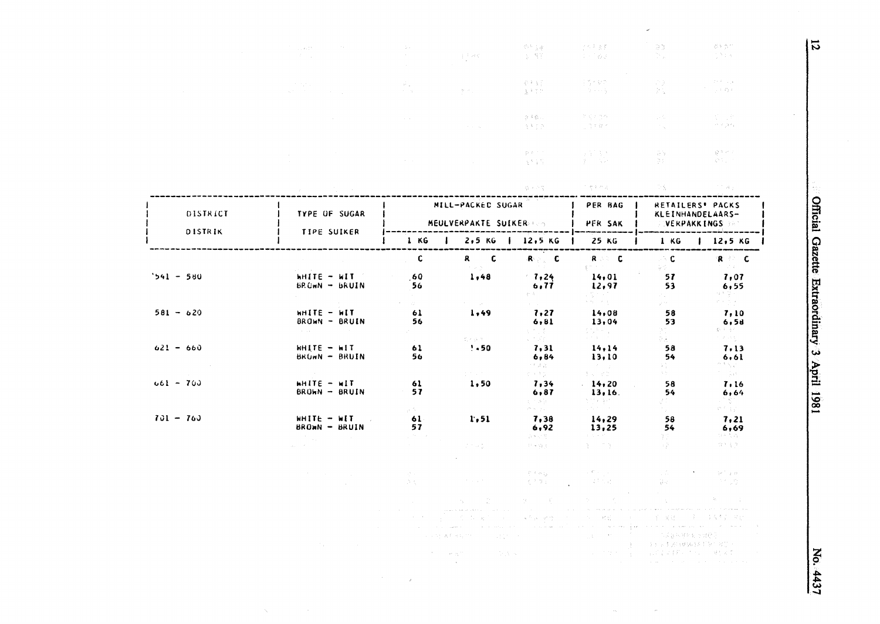|             | the subset of<br>$\mathcal{A}=\mathcal{A}$ .                                              | $\sim 10^{-1}$                                                   | $\int_{-\infty}^{\infty} \mathrm{d}t \, d\theta \, d\theta$                                    | 한 글羽<br>(2) 答案                                                                                                                                                                                                                                                                                                                                                                                                                                                                                                                                  | 子の声音家<br>ステミめる                                                                                                                                                                  | $\frac{m_{\chi}}{m_{\chi}^2} \frac{m_{\chi}}{D}$<br>75 p. | 资料资产<br>的第三人                                                                                                                 |
|-------------|-------------------------------------------------------------------------------------------|------------------------------------------------------------------|------------------------------------------------------------------------------------------------|-------------------------------------------------------------------------------------------------------------------------------------------------------------------------------------------------------------------------------------------------------------------------------------------------------------------------------------------------------------------------------------------------------------------------------------------------------------------------------------------------------------------------------------------------|---------------------------------------------------------------------------------------------------------------------------------------------------------------------------------|-----------------------------------------------------------|------------------------------------------------------------------------------------------------------------------------------|
|             | of the con-<br>$\mathcal{A}_\mathbf{C}$ and $\mathcal{A}_\mathbf{C}$ are also as a simple | $\langle \vec{\psi} \rangle_{\rm{eff}}$<br>$\alpha = \alpha_1$ . | 業界会                                                                                            | 安全部<br>金平文化                                                                                                                                                                                                                                                                                                                                                                                                                                                                                                                                     | 主任 イヤクト<br>化学 经海上                                                                                                                                                               | $\mathcal{P}(\mathbb{R})$<br>$\mathcal{V}(\mathbb{Q})$    | $\mathbb{R}^{n\times d}$ , $\mathbb{Z}_2$ is<br>一つの存在                                                                        |
|             |                                                                                           | $\sim 10^{-1}$                                                   | $\sigma_{\rm{max}}$ and                                                                        | うするこ<br>马克氏剂                                                                                                                                                                                                                                                                                                                                                                                                                                                                                                                                    | 医多叶白色<br>小管大腿术                                                                                                                                                                  | $\sim 10^6$<br>in the                                     | 图 14<br>$\gamma\sim\gamma\gamma/3\sigma_{\rm eff}$                                                                           |
|             |                                                                                           | $\sim 10^{11}$ km $^{-1}$                                        |                                                                                                | 取り方向<br>法不定的人                                                                                                                                                                                                                                                                                                                                                                                                                                                                                                                                   | 詳細。<br>わり                                                                                                                                                                       | GN.<br>211                                                | 調整のこ<br>$\mathcal{R}^{\mathcal{L}}(\mathbb{C}_{\mathcal{L}})$ .                                                              |
|             |                                                                                           |                                                                  |                                                                                                | 第十六页                                                                                                                                                                                                                                                                                                                                                                                                                                                                                                                                            | 人名博索布雷尔 人                                                                                                                                                                       | - 73 -                                                    | in 17 Mayı                                                                                                                   |
| DISTRICT    | TYPE OF SUGAR                                                                             |                                                                  | MILL-PACKED SUGAR<br>MEULVERPAKTE SUIKER SON                                                   |                                                                                                                                                                                                                                                                                                                                                                                                                                                                                                                                                 | PER BAG<br><b>PER SAK</b>                                                                                                                                                       |                                                           | RETAILERS' PACKS<br>KLEINHANDELAARS-<br><b>VERPAKKINGS</b>                                                                   |
| DISTRIK     | <b>TIPE SUIKER</b>                                                                        | 1 KG                                                             | $\mathbf{I}$                                                                                   | 2,5 KG   12,5 KG  <br>-------------                                                                                                                                                                                                                                                                                                                                                                                                                                                                                                             | 25 KG<br>------------                                                                                                                                                           | 1 KG                                                      | 12,5 KG<br>des versus resources                                                                                              |
|             |                                                                                           | C                                                                | C<br>R I<br>$\alpha=\mu-\nu$                                                                   | $R = C$                                                                                                                                                                                                                                                                                                                                                                                                                                                                                                                                         | R C<br>$\frac{1}{2} \left( \frac{1}{2} \right) \left( \frac{1}{2} \right) \left( \frac{1}{2} \right) \left( \frac{1}{2} \right) \left( \frac{1}{2} \right)$                     | $\sim$ C<br>复变。                                           | $R^{\circ}$ $\subset$ $C$<br>$\mathcal{F}=\mathcal{F}(\mathcal{X})$ .                                                        |
| $541 - 580$ | $H\Pi$ $\mathbf{H}$ $\mathbf{H}$ $\mathbf{H}$ $\mathbf{H}$ $\mathbf{H}$<br>$BROM - BRUIN$ | 60<br>56                                                         | 1,48                                                                                           | 1,24<br>6, 77<br>数量のこと                                                                                                                                                                                                                                                                                                                                                                                                                                                                                                                          | 14,01<br>12,97<br>द्वार पर्ने<br>चलका                                                                                                                                           | 57<br>53<br>Parti                                         | 7,07<br>6,55<br>体制度的                                                                                                         |
| $581 - 620$ | WHITE - WIT<br>BROWN - BRUIN<br><b>Service</b>                                            | AND TO<br>61<br>56                                               | $\mathcal{F}(\mathcal{F})$ , and $\mathcal{F}(\mathcal{F})$<br>1,49                            | $\mathbb{E}[\mathcal{F}(\mathcal{A})]$ .<br>7,27<br>6,81                                                                                                                                                                                                                                                                                                                                                                                                                                                                                        | 14,08<br>13,04                                                                                                                                                                  | gare in<br>58<br>53<br>PC 11                              | $\sigma \approx \sigma \sim \tau$<br>7,10<br>6,5d<br>$\label{eq:1.1} \xi_{\mathcal{V}}^{(n-1)}=\xi_{\mathcal{V}}^{(n-1)}\,.$ |
| $621 - 660$ | WHITE - WIT<br>BRUWN - BRUIN                                                              | 61<br>56                                                         | 流行機関係<br>$'$ + 50                                                                              | $\begin{array}{l} \mathbb{E}\left[\begin{array}{c} \mathbb{E} \left[\begin{array}{c} \mathbb{E} \left[\begin{array}{c} \mathbb{E} \left[\begin{array}{c} \mathbb{E} \left[\begin{array}{c} \mathbb{E} \left[\begin{array}{c} \mathbb{E} \left[\begin{array}{c} \mathbb{E} \left[\begin{array}{c} \mathbb{E} \left[\begin{array}{c} \mathbb{E} \left[\begin{array}{c} \mathbb{E} \left[\begin{array}{c} \mathbb{E} \left[\begin{array}{c} \mathbb{E} \left[\begin{array}{c} \mathbb{E} \left[\begin{array}{c} \mathbb{$<br>7,31<br>6,84<br>计判定设计 | 数量の<br>大きな (1980)<br>エイキング<br>14, 14<br>13,10<br>$\sim 200$ km $^{-1}$                                                                                                          | D Alli<br>58<br>54<br>아는 .                                | n e sviji<br>7.13<br>6.61<br>$\phi_{\rm{eff}}$ is $\phi_{\rm{eff}}$ .                                                        |
| $661 - 763$ | $H = -H$<br>BROWN - BRUIN                                                                 | 61<br>57                                                         | per person<br>1,50                                                                             | e kasa<br>7,34<br>6,87<br>医内断的                                                                                                                                                                                                                                                                                                                                                                                                                                                                                                                  | 医肾上腺炎<br>14,20<br>13, 16.<br>医阿米德特氏                                                                                                                                             | Administration<br>58<br>54<br>89 F                        | 不变的<br>7,16<br>6,64<br>-151)                                                                                                 |
| $701 - 760$ | $WHITE = WIT$<br>$BRQMN - BRUIN$                                                          | an North<br>61.<br>57<br>$\mathbb{R}^{2n}$ and                   | 1,51                                                                                           | program<br>7,38<br>6,92<br>会 いてい                                                                                                                                                                                                                                                                                                                                                                                                                                                                                                                | ya Kirik<br>14,29<br>13,25<br>$\mathcal{A} \in \mathbb{C}^{n \times n \times n \times n \times n}$                                                                              | ing a<br>58<br>54<br>99.                                  | $\mathcal{C}^{(2)}\subset\mathbb{C}^{(2)}$ .<br>7,21<br>6,69<br>つきなのう                                                        |
|             |                                                                                           |                                                                  | $\mathbb{C}^n \times \mathbb{C}^n$                                                             | $\mathbb{C}^2 \cong \{ \mathfrak{F}_{\mathfrak{F}} \}_{\mathfrak{F}}$ .                                                                                                                                                                                                                                                                                                                                                                                                                                                                         | 第二 四座                                                                                                                                                                           | or gen                                                    | $(3.2 - 3.2)$                                                                                                                |
|             |                                                                                           | $\mathcal{A}^{\mathcal{N}}_{\mathcal{A}}$ and<br>25.5%           | of the anti-                                                                                   | Cineman Call<br>ing that is                                                                                                                                                                                                                                                                                                                                                                                                                                                                                                                     | $\mathcal{L}^{\mathcal{L}}(\mathcal{L}^{\mathcal{L}}(\mathcal{L}^{\mathcal{L}}(\mathcal{L}^{\mathcal{L}}(\mathcal{L}^{\mathcal{L}}(\mathcal{L}^{\mathcal{L}})))$<br>1000 电影 经收入 | Alego                                                     | 大小 一 学会会<br>그는 가지로 했다.                                                                                                       |
|             |                                                                                           |                                                                  | (中国の) 内部の総<br>القوامل والرواد والمتحدث والمعروف والمتحدث والمتحرق<br>计复数形式 化二<br>しょうしょ 審美 あんだい | (2010年) 国<br>$\mathcal{L}^{\text{max}}_{\text{max}}$ and $\mathcal{L}^{\text{max}}_{\text{max}}$<br>化三甲二二 海产科 紧接口的                                                                                                                                                                                                                                                                                                                                                                                                                              | i Maria<br>$\mathcal{A}_\mathcal{A}$ , we have the second section of the second sector.<br>一个 一 杨超。<br><b>Carl Commercial</b>                                                   | 医三翼冠的<br>우규용 의원원회는 생산준                                    |                                                                                                                              |
|             | Tal.                                                                                      | $\sim 10^{-1}$                                                   | <b>September</b><br><b>Contractor</b><br>$\sim$ $\kappa$                                       |                                                                                                                                                                                                                                                                                                                                                                                                                                                                                                                                                 | of the co-                                                                                                                                                                      | 人口的 医奥氏细胞脑膜炎 经联合股票 人<br>自由的な はまめい オテレート 履行えば              |                                                                                                                              |

 $\mathcal{A}=\mathcal{A}$ 

 $\sim$ 

 $\zeta_{\rm c}$ 

Official Gazette Extraordinary 3 April 1981

No. 4437

 $\overline{5}$ 

 $\omega$ 

 $\hat{\rho}_0$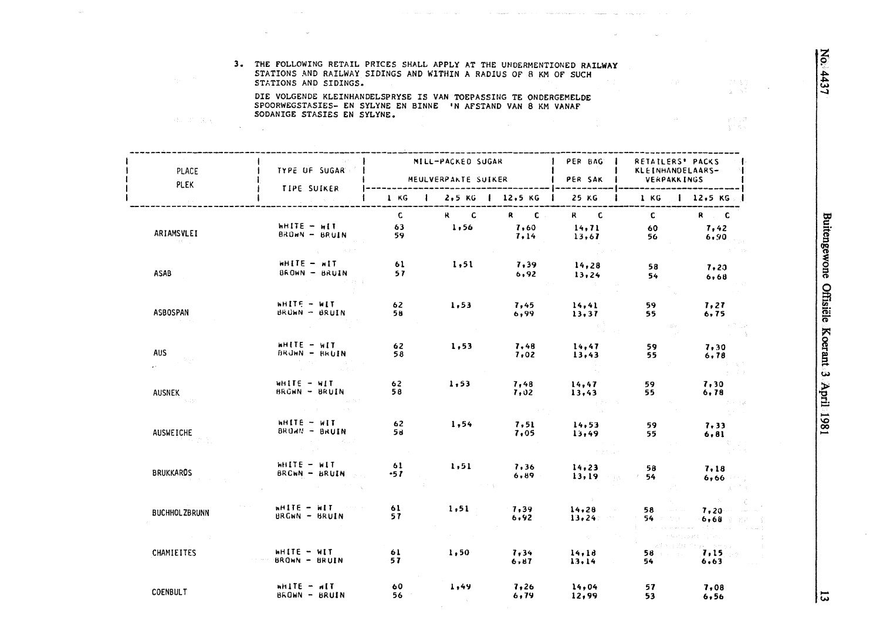$\chi \sim 5\%$ 

 $\frac{\varphi^{(1)}\varphi^{(2)}}{\frac{1}{2}+\frac{\varphi}{2}+\frac{\varphi}{2}}$ 

#### 3. THE FOLLOWING RETAIL PRICES SHALL APPLY AT THE UNDERMENTIONED RAILWAY STATIONS AND RAILWAY SIDINGS AND WITHIN A RADIUS OF 8 KM OF SUCH STATIONS AND SIDINGS.

 $\mathcal{L}^{\text{max}}_{\text{max}}$ 

in the company of the company of the company of the company of the company of the company of the company of the

 $\sim$ 

DIE VOLGENDE KLEINHANDELSPRYSE IS VAN TOEPASSING TE ONDERGEMELDE SPOORWEGSTASIES- EN SYLYNE EN BINNE 'N AFSTAND VAN 8 KM VANAF SODANIGE STASIES EN SYLYNE.

第2部 業業

 $\sim$  $\sim 10$ 

| PLACE<br><b>PLEK</b>        | TYPE OF SUGAR -                  |                           | MILL-PACKED SUGAR<br>MEULVERPAKTE SUIKER |                     | <b>I</b> PER BAG<br>PER SAK | RETAILERS' PACKS<br>KLEINHANDELAARS-<br><b>VERPAKKINGS</b> |                                |
|-----------------------------|----------------------------------|---------------------------|------------------------------------------|---------------------|-----------------------------|------------------------------------------------------------|--------------------------------|
|                             | <b>TIPE SUIKER</b>               |                           | 1 KG   2,5 KG   12,5 KG                  |                     | 25 KG                       |                                                            | 1 KG   12.5 KG                 |
| ARIAMSVLEI<br>and the group | $H = H \cup H$<br>BROWN - BRUIN  | $\mathbf{C}$<br>63<br>59. | $R$ $C$<br>1,56                          | R C<br>7,60<br>7,14 | $R$ $C$<br>14, 71<br>13,67  | $\mathbf{C}$<br>60<br>56                                   | $R$ $C$<br>7,42<br>6,90        |
| <b>ASAB</b>                 | $H = 311H$<br>BROWN - BRUIN      | 61<br>57                  | 1,51                                     | 7,39<br>6,92        | 14,28<br>13,24              | 58<br>54                                                   | 7,20<br>6,68                   |
| <b>ASBOSPAN</b>             | WHITE - WIT<br>BRUWN - BRUIN     | 62<br>58                  | 1,53                                     | 7,45<br>6,99        | 14,41<br>13, 37             | 59<br>55                                                   | 7,27<br>6,75                   |
| <b>AUS</b>                  | $M = 371144$<br>BRUWN - BRUIN    | 62<br>58                  | 1,53                                     | 7,48<br>7,02        | 14,47<br>13,43              | 59<br>55                                                   | 7,30<br>6, 78                  |
| <b>AUSNEK</b><br>in super   | MHILE - MIL<br>BROWN - BRUIN     | 62<br>58                  | 1,53                                     | 7,48<br>7,02        | 14,47<br>13,43              | 59.<br>55                                                  | 7,30<br>6,78                   |
| <b>AUSWEICHE</b>            | WHITE - MIT<br>BRUWN - BRUIN     | 62<br>58                  | 1,54                                     | 7, 51<br>7,05       | 14,53<br>13,49              | 59<br>55                                                   | 7,33<br>6, 81                  |
| <b>BRUKKAROS</b>            | WHITE - WIT<br>BROWN - BRUIN     | 61<br>-57                 | 1, 51                                    | 7,36<br>6.89        | 14, 23<br>13,19             | 58<br>$\lambda$<br>54                                      | 7.18<br>6,66                   |
| <b>BUCHHOL ZBRUNN</b>       | $m = 11$<br><b>BRGWN - BRUIN</b> | 61<br>57                  | $1.51 -$                                 | 7,39<br>6,92        | 14,28<br>13.24              | 58<br>$\tau$ , and $\tau$ , and<br>54                      | 7,20<br>6,68                   |
| CHAMIEITES                  | HHITE - WIT<br>BROWN - BRUIN     | 61<br>57                  | 1,50                                     | 7,34<br>6.87        | 14, 18<br>13.14             | 医紫色 医甲状<br>54                                              | za ili postoju<br>7,15<br>6.63 |
| <b>COENBULT</b>             | $H1F - H1F$<br>BROWN - BRUIN     | 60<br>56                  | 1,49                                     | 7,26<br>6,79        | 14,04<br>12,99              | 57.<br>53                                                  | 7,08<br>6, 56                  |

 $|\varpi|$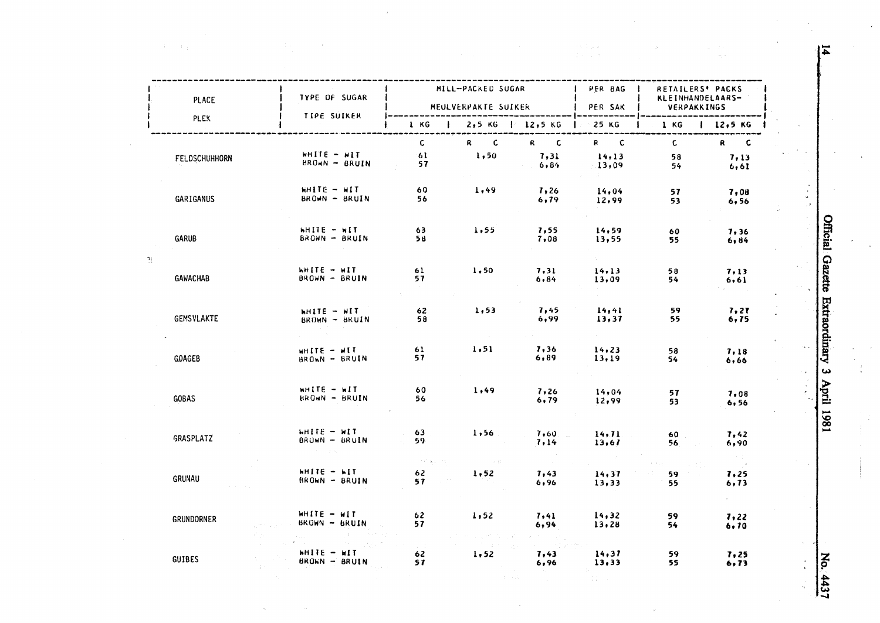|   | PLACE             | TYPE OF SUGAR                      |                          | MILL-PACKED SUGAR<br>MEULVERPAKTE SUIKER |                                                               | PER BAG  <br><b>I</b> PER SAK | RETAILERS' PACKS<br>KLEINHANDELAARS-<br>VERPAKKINGS |                     |
|---|-------------------|------------------------------------|--------------------------|------------------------------------------|---------------------------------------------------------------|-------------------------------|-----------------------------------------------------|---------------------|
|   | <b>PLEK</b>       | <b>TIPE SUIKER</b>                 |                          |                                          | 1 KG $\parallel$ 2,5 KG $\parallel$ 12,5 KG $\parallel$ 25 KG | ---------                     | $1 KG$   $12,5 KG$                                  |                     |
|   | FELDSCHUHHORN     | WHITE - WIT<br>$BROAN - BRUIN$     | $\mathbf{C}$<br>61<br>57 | $R$ $C$<br>1,50                          | $R$ $C$<br>7,31<br>6,84                                       | $R$ $C$<br>14.13<br>13,09     | $\mathbf{c}$<br>58<br>54                            | R C<br>7.13<br>6,61 |
|   | GARIGANUS         | WHITE - WIT<br>BROWN - BRUIN       | 60<br>56                 | 1,49                                     | 7,26<br>6,79                                                  | 14,04<br>12,99                | 57<br>53                                            | 7,08<br>6, 56       |
|   | GARUB             | $h$ HITE $-$ WIT<br>BROWN - BRUIN  | 63<br>58                 | 1,55                                     | 7.55<br>7,08                                                  | 14,59<br>13,55                | 60<br>55                                            | 7,36<br>6,84        |
| 겻 | <b>GAWACHAB</b>   | WHITE - WIT<br>BROWN - BRUIN       | 61<br>57                 | 1,50                                     | 7.31<br>6, 84                                                 | 14, 13<br>13,09               | 58<br>54                                            | 7,13<br>6,61        |
|   | <b>GEMSVLAKTE</b> | WHITE - WIT<br>BROWN - BRUIN       | 62<br>58                 | 1.53                                     | 7,45<br>6,99                                                  | 14,41<br>13,37                | 59<br>55                                            | 7.27<br>6,75        |
|   | <b>GOAGEB</b>     | WHITE - WIT<br>BROWN - BRUIN       | 61<br>57.                | 1, 51                                    | 7,36<br>6,89                                                  | 14, 23<br>13,19               | 58.<br>54                                           | 7,18<br>6,66        |
|   | <b>GOBAS</b>      | WHITE - WIT<br>BROWN - BRUIN       | 60<br>56                 | 1,49                                     | 7,26<br>6, 79                                                 | 14,04<br>12,99                | 57<br>53                                            | 7.08<br>6, 56       |
|   | GRASPLATZ         | $H = F$<br>BRUWN - BRUIN           | 63<br>59.                | 1,56                                     | 7,60<br>7,14                                                  | 14, 71<br>13,67               | 60<br>56.                                           | 7,42<br>6,90        |
|   | <b>GRUNAU</b>     | $H\Pi T E - H\Pi$<br>BROWN - BRUIN | この 大石の<br>62<br>57       | in and<br>1,52                           | $\sim 10^{11}$<br>7,43<br>6,96                                | 14, 37<br>13,33               | 59<br>55.                                           | 7.25<br>6,73        |
|   | <b>GRUNDORNER</b> | $WHITE - HIT$<br>BROWN - BRUIN     | 62<br>57                 | 1,52                                     | 7.41<br>6,94                                                  | 14,32<br>13,28                | 59<br>54                                            | 7,22<br>6,70        |
|   | <b>GUIBES</b>     | HITE - WIT<br>BROWN - BRUIN        | 62<br>57                 | 1,52                                     | 7,43<br>6,96                                                  | 14,37<br>13,33                | 59<br>55                                            | 7,25<br>6, 73       |

 $\mathcal{A}^{\text{max}}_{\text{max}}$ 

Official Gazette Extraordinary 3 April 1981 

No. 4437  $\frac{1}{4}$ 

 $\overline{4}$ 

 $\frac{1}{\sqrt{2}}$ 

 $\bar{\omega}$ 

 $\frac{1}{2} \frac{1}{2}$ 

 $\begin{array}{c} 1 \\ 1 \\ 2 \\ 3 \end{array}$ 

 $\frac{1}{2}$ 

 $\ddot{\phantom{a}}$  .

 $\mathbf{v}$ 

 $\bar{z}$ 

 $\frac{d}{dt} = \frac{d^2\phi}{dt^2}$ 

 $\geq$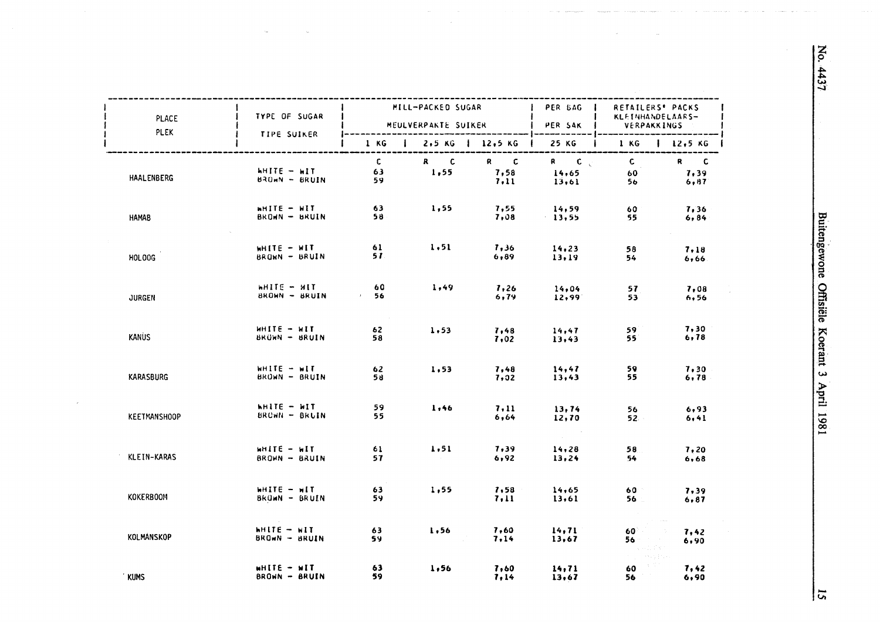| PLACE               | I TYPE OF SUGAR                        |                           | MILL-PACKED SUGAR               |              | PER BAG I<br>MEULVERPAKTE SUIKER   PER SAK           | RETAILERS' PACKS<br>KLEINHANDELAARS-<br><b>VERPAKKINGS</b> |                        |
|---------------------|----------------------------------------|---------------------------|---------------------------------|--------------|------------------------------------------------------|------------------------------------------------------------|------------------------|
| <b>PLEK</b>         | <b>TIPE SUIKER</b>                     |                           | 1 KG   2,5 KG   12,5 KG   25 KG |              |                                                      | $1 KG \quad 1 12,5 KG$                                     |                        |
| <b>HAALENBERG</b>   | $H\Pi T E - H\Pi T$<br>$BAOMN - BRUIN$ | $\mathbf{c}$<br>63<br>59. | $R$ $C$<br>1,55                 | $R = C$      | $R = C \sqrt{2}$<br>$7,58$ $14,65$<br>$7,11$ $13,61$ | $\mathbf{C}$<br>60<br>56.                                  | $R$ C<br>7,39<br>6, 87 |
| <b>HAMAB</b>        | WHITE - WIT<br>BROWN - BRUIN           | 63<br>58                  | 1,55                            | 7,55<br>7,08 | 14,59<br>13,55                                       | 60<br>55                                                   | 7,36<br>6, 84          |
| HOLOOG              | WHITE - WIT<br>BROWN - BRUIN           | 61 -<br>51.               | 1, 51                           | 7,36<br>6,89 | 14.23<br>13,19                                       | 58<br>54                                                   | 7.18<br>6,66           |
| <b>JURGEN</b>       | WHITE - MIT<br>BROWN - BRUIN           | 60<br>$\sim$ 56           | 1,49                            | 6,79         | $7,26$ 14,04<br>12,99                                | 57<br>53                                                   | 7,08<br>6,56           |
| <b>KANUS</b>        | MHITE - WIT<br>BROWN - BRUIN           | 62<br>58                  | 1,53                            | 7,48<br>7,02 | 14,47<br>13,43                                       | 59<br>55.                                                  | 7,30<br>6,78           |
| <b>KARASBURG</b>    | $WHITE - HIT$<br><b>BROWN - BRUIN</b>  | 62<br>58                  | 1,53                            | 7,48<br>7,02 | 14,47<br>13,43                                       | 59.<br>55                                                  | 7.30<br>6,78           |
| <b>KEETMANSHOOP</b> | <b>WHITE - WIT</b><br>$BRCHH = BRUIN$  | 59<br>55                  | 1,46                            | 7.11<br>6,64 | 13,74<br>12,70                                       | 56 —                                                       | 6,93<br>6,41           |
| KLEIN-KARAS         | $H = H \cup H$<br><b>BROWN - BRUIN</b> | 61<br>57                  | 1.51                            | 7.39<br>6,92 | $\sim 10^{-10}$<br>14,28<br>13,24                    | 58.<br>54                                                  | 7,20<br>6,68           |
| <b>KOKERBOOM</b>    | $H\Pi F = H\Pi$<br>$BKUM - BRUIN$      | 63<br>59.                 | 1,55                            | 7,11         | $7,58$ 14,65<br>13,61                                | 60 -<br>56.                                                | 7,39<br>6.87           |
| KOLMANSKOP          | $H\Pi F - H\Pi$<br>BROWN - BRUIN       | 63<br>59.                 | 1,56                            | 7,60<br>7,14 | 14, 71<br>13,67                                      | 60 -<br>56                                                 | 7,42<br>6,90           |
| <b>KUMS</b>         | $H = -111H$<br>BROWN - BRUIN           | 63<br>59                  | $\frac{1}{2}$ , 56              | 7,60<br>7,14 | 14, 71<br>13,67                                      | 60<br>56                                                   | 7,42<br>6,90           |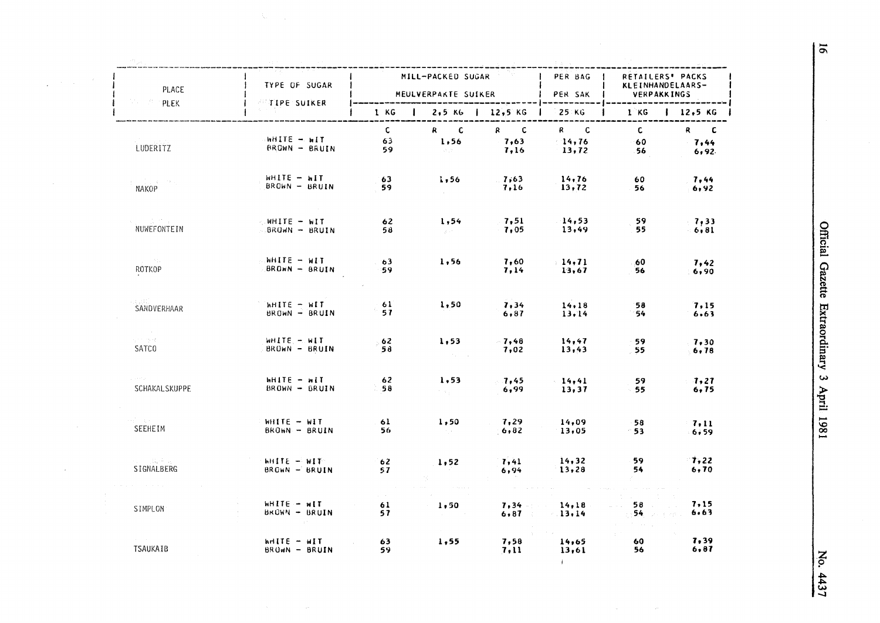| PLACE                                           | TYPE OF SUGAR                                       |                            | MILL-PACKED SUGAR                      |                                                                                                        | PER BAG  <br>PER SAK           | RETAILERS' PACKS<br><b>KLEINHANDELAARS-</b> |                                |  |
|-------------------------------------------------|-----------------------------------------------------|----------------------------|----------------------------------------|--------------------------------------------------------------------------------------------------------|--------------------------------|---------------------------------------------|--------------------------------|--|
| $P$ PLEK                                        | <b>TIPE SUIKER</b>                                  |                            | MEULVERPAKTE SUIKER                    |                                                                                                        | ---------                      | <b>VERPAKKINGS</b>                          |                                |  |
|                                                 |                                                     | 1 KG                       | $1$ 2,5 KG   12,5 KG                   |                                                                                                        | 25 KG<br>----------            |                                             | $1 KG$   $12.5 KG$             |  |
| LUDERITZ                                        | NHITE - WIT<br><b>BROWN - BRUIN</b>                 | $\mathsf{C}$<br>63<br>59 - | $R$ $C$<br>1,56<br>Subject of          | $R$ C<br>7,63<br>7,16                                                                                  | R C<br>14,76<br>13,72          | $\mathbf{c}$<br>- 60<br>- 56                | R C<br>$\mathbf{7,44}$<br>6,92 |  |
| $\mathbb{Z}^n$ is a set $\mathbb{Z}^n$<br>NAKOP | <b>WHITE - WIT</b><br>$BROWN - BRUIN$               | 63<br>59                   | 1,56                                   | $\frac{7.63}{ }$<br>7,16                                                                               | 14, 76<br>13,72                | 60<br>56                                    | 7,44<br>$-6,92$                |  |
| (一) せん<br>NUWEFONTEIN                           | WHITE - WIT<br>BROWN - BRUIN                        | 62<br>58                   | 1,54<br>State of                       | 7, 51<br>$-7,05$                                                                                       | 14,53<br>13,49                 | -59<br>55                                   | 7,33<br>$-6,81$                |  |
| province<br>ROTKOP                              | <b>NHITE - WIT</b><br>BROWN - BRUIN                 | 63<br>59.                  | 1,56                                   | 7,60<br>7,14                                                                                           | 14, 71<br>13,67                | 60<br>56                                    | 7,42<br>6,90                   |  |
| SANDVERHAAR                                     | WHITE - WIT<br>BROWN - BRUIN                        | 61<br>57                   | 1,50                                   | 7,34<br>6,87                                                                                           | 14.18<br>13.14                 | 58<br>$-54$                                 | 7.15<br>6.63                   |  |
| $\sim 100$<br>经无损损失<br>SATC <sub>0</sub>        | WHITE - WIT<br>BROWN - BRUIN                        | 62<br>58                   | 1,53<br>$\sim 10^{-1}$ k               | $-7,48$<br>7,02                                                                                        | 14,47<br>13,43                 | 59<br>55                                    | 7,30<br>6, 78                  |  |
| <b>SCHAKALSKUPPE</b>                            | MHITE - MIT<br>BROWN - BRUIN                        | 62<br>58.                  | 1,53<br>$\gamma$ - $\eta$ - $\gamma$ - | 7,45<br>6,99                                                                                           | 14,41<br>13,37                 | 59<br>55                                    | 7,27<br>6, 75                  |  |
| Angele S<br>SEEHEIM                             | WHITE - WIT<br>BROWN - BRUIN                        | 61<br>56                   | 1,50<br>in the co                      | 7,29<br>6,82                                                                                           | 14,09<br>13,05                 | 58<br>$^{\circ}53$                          | 7,11<br>$-6,59$                |  |
| a - Beka<br>SIGNALBERG                          | WHITE - WIT<br>BROWN - BRUIN                        | 62<br>57                   | 1,52                                   | 7,41<br>6,94                                                                                           | 14,32<br>13,28                 | 59.<br>54.                                  | $\mathbf{7,22}$<br>6, 70       |  |
| SIMPLON                                         | $WHITE - HIT$<br>BROWN - BRUIN<br><b>Controller</b> | 61<br>57                   | 1,50                                   | $\mathcal{L}^{\mathcal{L}}$ and $\mathcal{L}^{\mathcal{L}}$ are the set of $\mathcal{L}^{\mathcal{L}}$ | $7,34 - 14,18$<br>$6.87$ 13.14 | 58<br>54. 医牙科                               | 7,15<br>6.63                   |  |
| <b>TSAUKAIB</b>                                 | $MITE - MIT$<br>BROWN - BRUIN                       | 63<br>59.                  | 1,55                                   | 7,58<br>7,11                                                                                           | 14,65<br>13,61<br>$\mathbf{F}$ | 60 -<br>56                                  | 7,39<br>6,87                   |  |

 $\bar{\gamma}$ 

 $\overline{5}$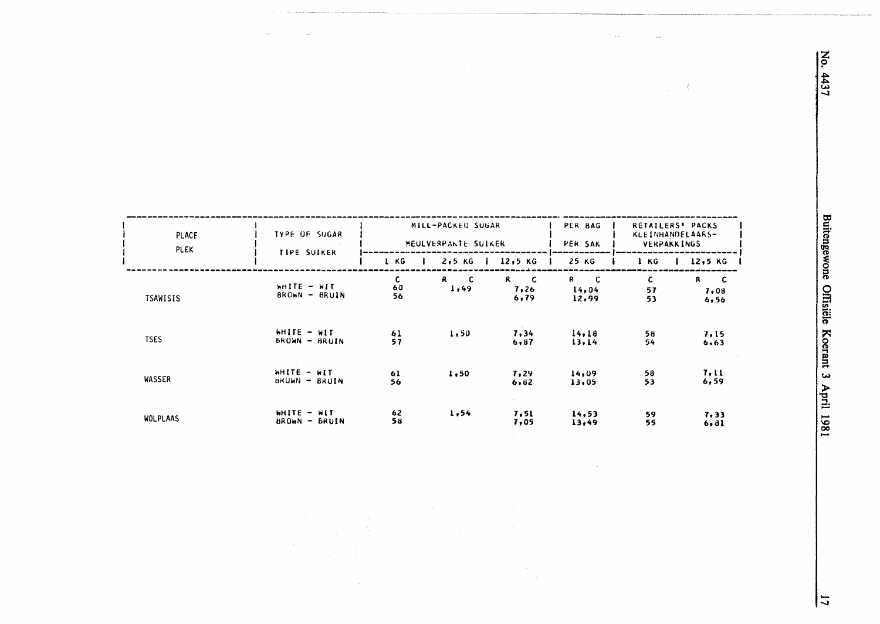| PLACE<br><b>PLEK</b> | <b>TYPE OF SUGAR</b><br>TIPE SUIKER | MILL-PACKED SUGAR<br>MEULVERPANTE SUIKER<br>1 KG<br>12,5 KG<br>$2,5$ KG |                                                 |                                    | PER BAG<br>PER SAK<br>25 KG | RETAILERS' PACKS<br>KLEINHANDELAARS-<br>VERPAKKINGS<br>12,5 K<br>1 KG |                                              |
|----------------------|-------------------------------------|-------------------------------------------------------------------------|-------------------------------------------------|------------------------------------|-----------------------------|-----------------------------------------------------------------------|----------------------------------------------|
| <b>TSAWISIS</b>      | WHITE - WIT<br>BROWN - BRUIN        | <b>C</b><br>60<br>56                                                    | $\mathbf{R}$<br>$\overline{\mathbf{C}}$<br>1,49 | $\mathbf R$<br>-C.<br>7,26<br>6,79 | -C<br>R.<br>14,04<br>12,99  | C.<br>57<br>53                                                        | R<br>$\overline{\mathbf{c}}$<br>7,08<br>6,56 |
| <b>TSES</b>          | WHITE - WIT<br>BROWN - BRUIN        | 61<br>57                                                                | 1,50                                            | 7,34<br>6.87                       | 14, 18<br>13.14             | 58<br>54                                                              | 7,15<br>6.63                                 |
| WASSER               | $H = 3THH$<br>BROWN - BRUIN         | 61<br>56                                                                | 1,50                                            | 7,29<br>6,82                       | 14,09<br>13,05              | 58<br>53                                                              | 7,11<br>6, 59                                |
| <b>WOLPLAAS</b>      | WHITE - WIT<br>$BROM - BRUIN$       | 62<br>58                                                                | 1,54                                            | 7, 51<br>7,05                      | 14,53<br>13,49              | 59<br>55                                                              | 7,33<br>6, 81                                |

 $\frac{1}{2\pi\epsilon}$ 

No. 4437

 $\hat{\vec{z}}$ 

 $\langle$  $\mathcal{L}_{\mathcal{A}}$ 

 $\overline{1}$